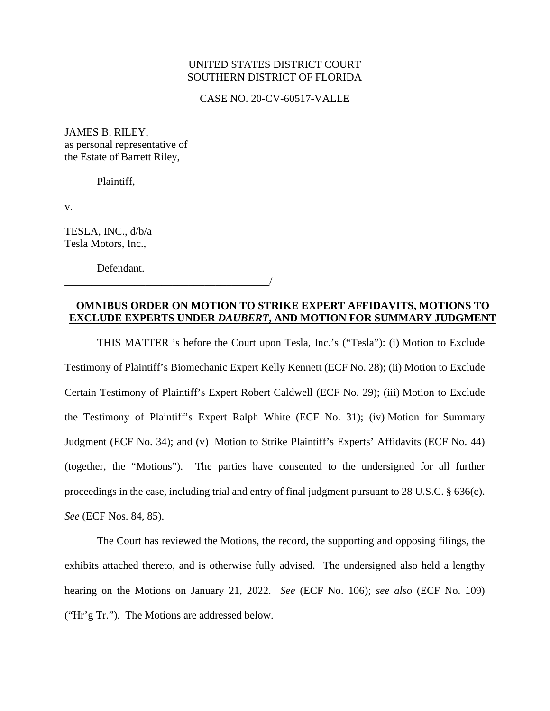# UNITED STATES DISTRICT COURT SOUTHERN DISTRICT OF FLORIDA

CASE NO. 20-CV-60517-VALLE

JAMES B. RILEY, as personal representative of the Estate of Barrett Riley,

Plaintiff,

v.

TESLA, INC., d/b/a Tesla Motors, Inc.,

Defendant.

\_\_\_\_\_\_\_\_\_\_\_\_\_\_\_\_\_\_\_\_\_\_\_\_\_\_\_\_\_\_\_\_\_\_\_\_\_\_/

**OMNIBUS ORDER ON MOTION TO STRIKE EXPERT AFFIDAVITS, MOTIONS TO EXCLUDE EXPERTS UNDER** *DAUBERT***, AND MOTION FOR SUMMARY JUDGMENT**

THIS MATTER is before the Court upon Tesla, Inc.'s ("Tesla"): (i) Motion to Exclude Testimony of Plaintiff's Biomechanic Expert Kelly Kennett (ECF No. 28); (ii) Motion to Exclude Certain Testimony of Plaintiff's Expert Robert Caldwell (ECF No. 29); (iii) Motion to Exclude the Testimony of Plaintiff's Expert Ralph White (ECF No. 31); (iv) Motion for Summary Judgment (ECF No. 34); and (v) Motion to Strike Plaintiff's Experts' Affidavits (ECF No. 44) (together, the "Motions"). The parties have consented to the undersigned for all further proceedings in the case, including trial and entry of final judgment pursuant to 28 U.S.C. § 636(c). *See* (ECF Nos. 84, 85).

The Court has reviewed the Motions, the record, the supporting and opposing filings, the exhibits attached thereto, and is otherwise fully advised. The undersigned also held a lengthy hearing on the Motions on January 21, 2022. *See* (ECF No. 106); *see also* (ECF No. 109) ("Hr'g Tr."). The Motions are addressed below.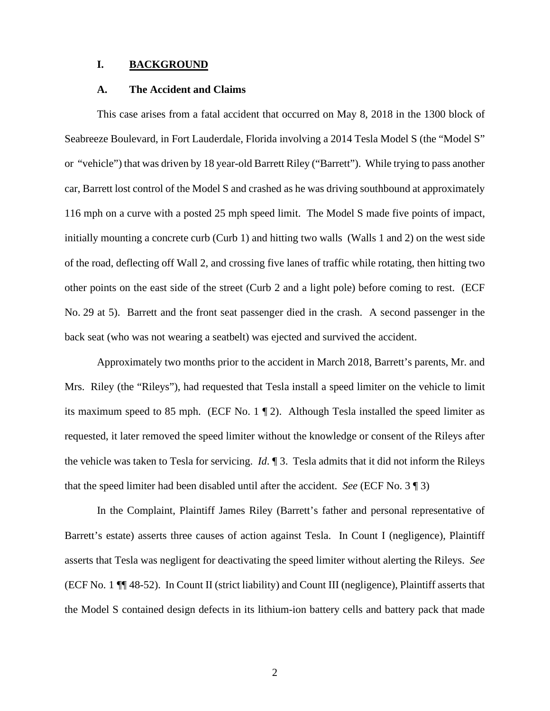# **I. BACKGROUND**

### **A. The Accident and Claims**

This case arises from a fatal accident that occurred on May 8, 2018 in the 1300 block of Seabreeze Boulevard, in Fort Lauderdale, Florida involving a 2014 Tesla Model S (the "Model S" or "vehicle") that was driven by 18 year-old Barrett Riley ("Barrett"). While trying to pass another car, Barrett lost control of the Model S and crashed as he was driving southbound at approximately 116 mph on a curve with a posted 25 mph speed limit. The Model S made five points of impact, initially mounting a concrete curb (Curb 1) and hitting two walls (Walls 1 and 2) on the west side of the road, deflecting off Wall 2, and crossing five lanes of traffic while rotating, then hitting two other points on the east side of the street (Curb 2 and a light pole) before coming to rest. (ECF No. 29 at 5). Barrett and the front seat passenger died in the crash. A second passenger in the back seat (who was not wearing a seatbelt) was ejected and survived the accident.

Approximately two months prior to the accident in March 2018, Barrett's parents, Mr. and Mrs. Riley (the "Rileys"), had requested that Tesla install a speed limiter on the vehicle to limit its maximum speed to 85 mph. (ECF No. 1 ¶ 2). Although Tesla installed the speed limiter as requested, it later removed the speed limiter without the knowledge or consent of the Rileys after the vehicle was taken to Tesla for servicing. *Id*. ¶ 3. Tesla admits that it did not inform the Rileys that the speed limiter had been disabled until after the accident. *See* (ECF No. 3 ¶ 3)

In the Complaint, Plaintiff James Riley (Barrett's father and personal representative of Barrett's estate) asserts three causes of action against Tesla. In Count I (negligence), Plaintiff asserts that Tesla was negligent for deactivating the speed limiter without alerting the Rileys. *See* (ECF No. 1 ¶¶ 48-52). In Count II (strict liability) and Count III (negligence), Plaintiff asserts that the Model S contained design defects in its lithium-ion battery cells and battery pack that made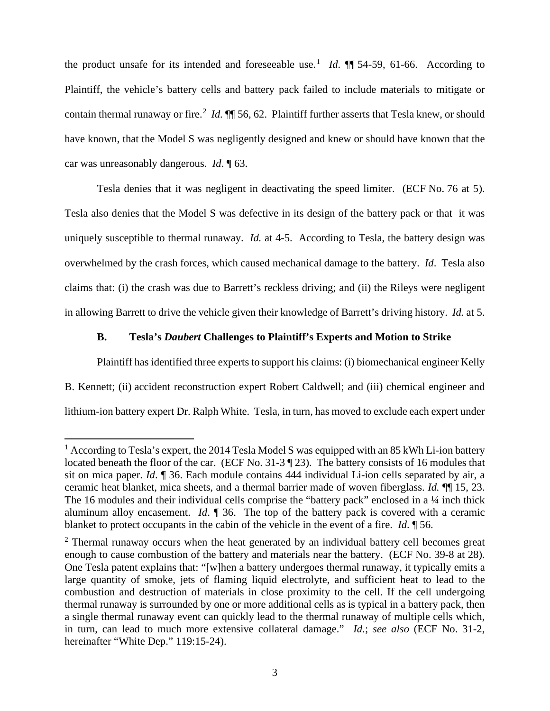the product unsafe for its intended and foreseeable use.<sup>1</sup> *Id*.  $\P\P$  54-59, 61-66. According to Plaintiff, the vehicle's battery cells and battery pack failed to include materials to mitigate or contain thermal runaway or fire.<sup>2</sup> *Id*. **¶** 56, 62. Plaintiff further asserts that Tesla knew, or should have known, that the Model S was negligently designed and knew or should have known that the car was unreasonably dangerous. *Id*. ¶ 63.

Tesla denies that it was negligent in deactivating the speed limiter. (ECF No. 76 at 5). Tesla also denies that the Model S was defective in its design of the battery pack or that it was uniquely susceptible to thermal runaway. *Id.* at 4-5. According to Tesla, the battery design was overwhelmed by the crash forces, which caused mechanical damage to the battery. *Id*. Tesla also claims that: (i) the crash was due to Barrett's reckless driving; and (ii) the Rileys were negligent in allowing Barrett to drive the vehicle given their knowledge of Barrett's driving history. *Id.* at 5.

### **B. Tesla's** *Daubert* **Challenges to Plaintiff's Experts and Motion to Strike**

Plaintiff has identified three experts to support his claims: (i) biomechanical engineer Kelly B. Kennett; (ii) accident reconstruction expert Robert Caldwell; and (iii) chemical engineer and lithium-ion battery expert Dr. Ralph White. Tesla, in turn, has moved to exclude each expert under

<sup>&</sup>lt;sup>1</sup> According to Tesla's expert, the 2014 Tesla Model S was equipped with an 85 kWh Li-ion battery located beneath the floor of the car. (ECF No. 31-3 ¶ 23). The battery consists of 16 modules that sit on mica paper. *Id*. ¶ 36. Each module contains 444 individual Li-ion cells separated by air, a ceramic heat blanket, mica sheets, and a thermal barrier made of woven fiberglass. *Id.* ¶¶ 15, 23. The 16 modules and their individual cells comprise the "battery pack" enclosed in a 1/4 inch thick aluminum alloy encasement. *Id*. ¶ 36. The top of the battery pack is covered with a ceramic blanket to protect occupants in the cabin of the vehicle in the event of a fire. *Id*. ¶ 56.

 $2$  Thermal runaway occurs when the heat generated by an individual battery cell becomes great enough to cause combustion of the battery and materials near the battery. (ECF No. 39-8 at 28). One Tesla patent explains that: "[w]hen a battery undergoes thermal runaway, it typically emits a large quantity of smoke, jets of flaming liquid electrolyte, and sufficient heat to lead to the combustion and destruction of materials in close proximity to the cell. If the cell undergoing thermal runaway is surrounded by one or more additional cells as is typical in a battery pack, then a single thermal runaway event can quickly lead to the thermal runaway of multiple cells which, in turn, can lead to much more extensive collateral damage." *Id.*; *see also* (ECF No. 31-2, hereinafter "White Dep." 119:15-24).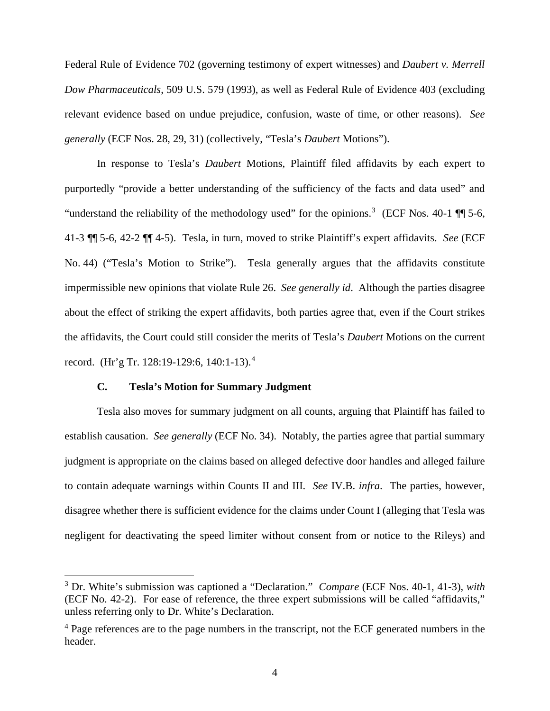Federal Rule of Evidence 702 (governing testimony of expert witnesses) and *Daubert v. Merrell Dow Pharmaceuticals*, 509 U.S. 579 (1993), as well as Federal Rule of Evidence 403 (excluding relevant evidence based on undue prejudice, confusion, waste of time, or other reasons). *See generally* (ECF Nos. 28, 29, 31) (collectively, "Tesla's *Daubert* Motions").

In response to Tesla's *Daubert* Motions, Plaintiff filed affidavits by each expert to purportedly "provide a better understanding of the sufficiency of the facts and data used" and "understand the reliability of the methodology used" for the opinions.<sup>3</sup> (ECF Nos. 40-1  $\P$ ] 5-6, 41-3 ¶¶ 5-6, 42-2 ¶¶ 4-5). Tesla, in turn, moved to strike Plaintiff's expert affidavits. *See* (ECF No. 44) ("Tesla's Motion to Strike"). Tesla generally argues that the affidavits constitute impermissible new opinions that violate Rule 26. *See generally id*. Although the parties disagree about the effect of striking the expert affidavits, both parties agree that, even if the Court strikes the affidavits, the Court could still consider the merits of Tesla's *Daubert* Motions on the current record. (Hr'g Tr. 128:19-129:6, 140:1-13).<sup>4</sup>

# **C. Tesla's Motion for Summary Judgment**

Tesla also moves for summary judgment on all counts, arguing that Plaintiff has failed to establish causation. *See generally* (ECF No. 34). Notably, the parties agree that partial summary judgment is appropriate on the claims based on alleged defective door handles and alleged failure to contain adequate warnings within Counts II and III. *See* IV.B. *infra*. The parties, however, disagree whether there is sufficient evidence for the claims under Count I (alleging that Tesla was negligent for deactivating the speed limiter without consent from or notice to the Rileys) and

<sup>3</sup> Dr. White's submission was captioned a "Declaration." *Compare* (ECF Nos. 40-1, 41-3), *with* (ECF No. 42-2). For ease of reference, the three expert submissions will be called "affidavits," unless referring only to Dr. White's Declaration.

<sup>&</sup>lt;sup>4</sup> Page references are to the page numbers in the transcript, not the ECF generated numbers in the header.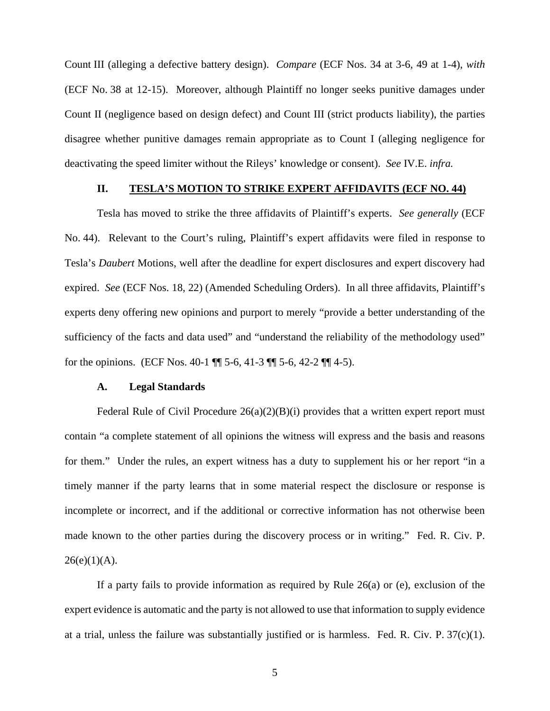Count III (alleging a defective battery design). *Compare* (ECF Nos. 34 at 3-6, 49 at 1-4), *with*  (ECF No. 38 at 12-15). Moreover, although Plaintiff no longer seeks punitive damages under Count II (negligence based on design defect) and Count III (strict products liability), the parties disagree whether punitive damages remain appropriate as to Count I (alleging negligence for deactivating the speed limiter without the Rileys' knowledge or consent). *See* IV.E. *infra.*

#### **II. TESLA'S MOTION TO STRIKE EXPERT AFFIDAVITS (ECF NO. 44)**

Tesla has moved to strike the three affidavits of Plaintiff's experts. *See generally* (ECF No. 44). Relevant to the Court's ruling, Plaintiff's expert affidavits were filed in response to Tesla's *Daubert* Motions, well after the deadline for expert disclosures and expert discovery had expired. *See* (ECF Nos. 18, 22) (Amended Scheduling Orders). In all three affidavits, Plaintiff's experts deny offering new opinions and purport to merely "provide a better understanding of the sufficiency of the facts and data used" and "understand the reliability of the methodology used" for the opinions. (ECF Nos. 40-1 ¶¶ 5-6, 41-3 ¶¶ 5-6, 42-2 ¶¶ 4-5).

# **A. Legal Standards**

Federal Rule of Civil Procedure  $26(a)(2)(B)(i)$  provides that a written expert report must contain "a complete statement of all opinions the witness will express and the basis and reasons for them." Under the rules, an expert witness has a duty to supplement his or her report "in a timely manner if the party learns that in some material respect the disclosure or response is incomplete or incorrect, and if the additional or corrective information has not otherwise been made known to the other parties during the discovery process or in writing." Fed. R. Civ. P.  $26(e)(1)(A)$ .

If a party fails to provide information as required by Rule  $26(a)$  or (e), exclusion of the expert evidence is automatic and the party is not allowed to use that information to supply evidence at a trial, unless the failure was substantially justified or is harmless. Fed. R. Civ. P. 37(c)(1).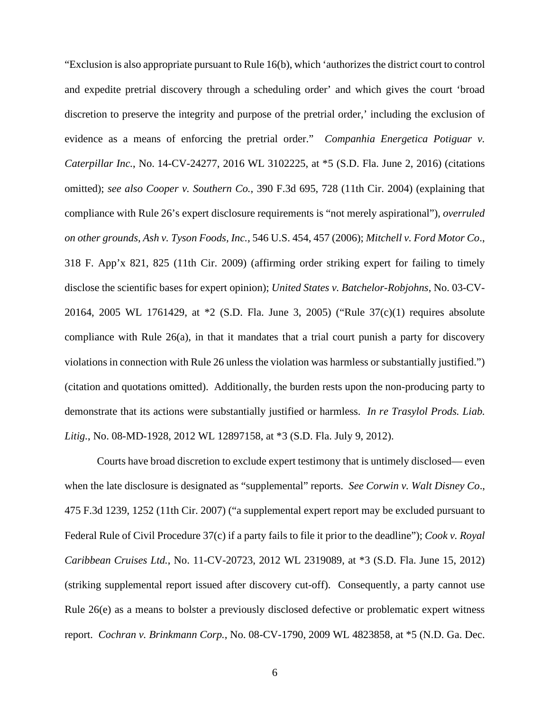"Exclusion is also appropriate pursuant to Rule 16(b), which 'authorizes the district court to control and expedite pretrial discovery through a scheduling order' and which gives the court 'broad discretion to preserve the integrity and purpose of the pretrial order,' including the exclusion of evidence as a means of enforcing the pretrial order." *Companhia Energetica Potiguar v. Caterpillar Inc.*, No. 14-CV-24277, 2016 WL 3102225, at \*5 (S.D. Fla. June 2, 2016) (citations omitted); *see also Cooper v. Southern Co.*, 390 F.3d 695, 728 (11th Cir. 2004) (explaining that compliance with Rule 26's expert disclosure requirements is "not merely aspirational"), *overruled on other grounds, Ash v. Tyson Foods, Inc.,* 546 U.S. 454, 457 (2006); *Mitchell v. Ford Motor Co*., 318 F. App'x 821, 825 (11th Cir. 2009) (affirming order striking expert for failing to timely disclose the scientific bases for expert opinion); *United States v. Batchelor-Robjohns*, No. 03-CV-20164, 2005 WL 1761429, at \*2 (S.D. Fla. June 3, 2005) ("Rule 37(c)(1) requires absolute compliance with Rule  $26(a)$ , in that it mandates that a trial court punish a party for discovery violations in connection with Rule 26 unless the violation was harmless or substantially justified.") (citation and quotations omitted). Additionally, the burden rests upon the non-producing party to demonstrate that its actions were substantially justified or harmless. *In re Trasylol Prods. Liab. Litig.*, No. 08-MD-1928, 2012 WL 12897158, at \*3 (S.D. Fla. July 9, 2012).

Courts have broad discretion to exclude expert testimony that is untimely disclosed— even when the late disclosure is designated as "supplemental" reports. *See Corwin v. Walt Disney Co*., 475 F.3d 1239, 1252 (11th Cir. 2007) ("a supplemental expert report may be excluded pursuant to Federal Rule of Civil Procedure 37(c) if a party fails to file it prior to the deadline"); *Cook v. Royal Caribbean Cruises Ltd.*, No. 11-CV-20723, 2012 WL 2319089, at \*3 (S.D. Fla. June 15, 2012) (striking supplemental report issued after discovery cut-off). Consequently, a party cannot use Rule 26(e) as a means to bolster a previously disclosed defective or problematic expert witness report. *Cochran v. Brinkmann Corp.*, No. 08-CV-1790, 2009 WL 4823858, at \*5 (N.D. Ga. Dec.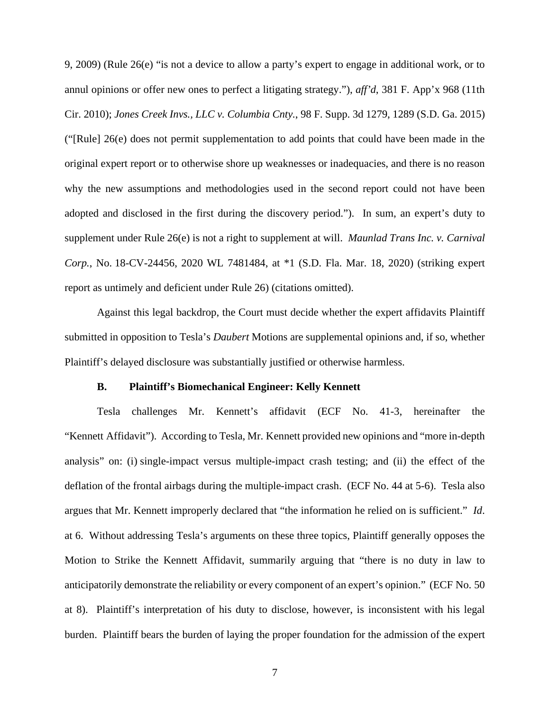9, 2009) (Rule 26(e) "is not a device to allow a party's expert to engage in additional work, or to annul opinions or offer new ones to perfect a litigating strategy."), *aff'd*, 381 F. App'x 968 (11th Cir. 2010); *Jones Creek Invs., LLC v. Columbia Cnty.*, 98 F. Supp. 3d 1279, 1289 (S.D. Ga. 2015) ("[Rule] 26(e) does not permit supplementation to add points that could have been made in the original expert report or to otherwise shore up weaknesses or inadequacies, and there is no reason why the new assumptions and methodologies used in the second report could not have been adopted and disclosed in the first during the discovery period."). In sum, an expert's duty to supplement under Rule 26(e) is not a right to supplement at will. *Maunlad Trans Inc. v. Carnival Corp.*, No. 18-CV-24456, 2020 WL 7481484, at \*1 (S.D. Fla. Mar. 18, 2020) (striking expert report as untimely and deficient under Rule 26) (citations omitted).

Against this legal backdrop, the Court must decide whether the expert affidavits Plaintiff submitted in opposition to Tesla's *Daubert* Motions are supplemental opinions and, if so, whether Plaintiff's delayed disclosure was substantially justified or otherwise harmless.

### **B. Plaintiff's Biomechanical Engineer: Kelly Kennett**

Tesla challenges Mr. Kennett's affidavit (ECF No. 41-3, hereinafter the "Kennett Affidavit"). According to Tesla, Mr. Kennett provided new opinions and "more in-depth analysis" on: (i) single-impact versus multiple-impact crash testing; and (ii) the effect of the deflation of the frontal airbags during the multiple-impact crash. (ECF No. 44 at 5-6). Tesla also argues that Mr. Kennett improperly declared that "the information he relied on is sufficient." *Id*. at 6. Without addressing Tesla's arguments on these three topics, Plaintiff generally opposes the Motion to Strike the Kennett Affidavit, summarily arguing that "there is no duty in law to anticipatorily demonstrate the reliability or every component of an expert's opinion." (ECF No. 50 at 8). Plaintiff's interpretation of his duty to disclose, however, is inconsistent with his legal burden. Plaintiff bears the burden of laying the proper foundation for the admission of the expert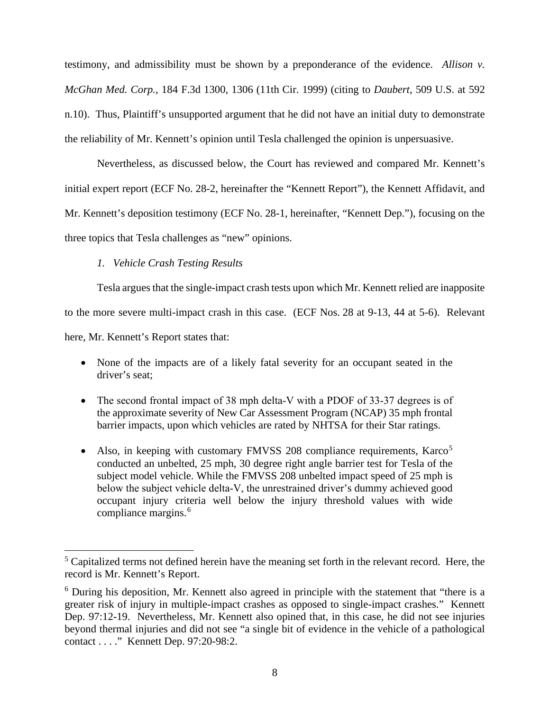testimony, and admissibility must be shown by a preponderance of the evidence. *Allison v. McGhan Med. Corp.*, 184 F.3d 1300, 1306 (11th Cir. 1999) (citing to *Daubert*, 509 U.S. at 592 n.10). Thus, Plaintiff's unsupported argument that he did not have an initial duty to demonstrate the reliability of Mr. Kennett's opinion until Tesla challenged the opinion is unpersuasive.

Nevertheless, as discussed below, the Court has reviewed and compared Mr. Kennett's initial expert report (ECF No. 28-2, hereinafter the "Kennett Report"), the Kennett Affidavit, and Mr. Kennett's deposition testimony (ECF No. 28-1, hereinafter, "Kennett Dep."), focusing on the three topics that Tesla challenges as "new" opinions.

# *1. Vehicle Crash Testing Results*

Tesla argues that the single-impact crash tests upon which Mr. Kennett relied are inapposite

to the more severe multi-impact crash in this case. (ECF Nos. 28 at 9-13, 44 at 5-6). Relevant

here, Mr. Kennett's Report states that:

- None of the impacts are of a likely fatal severity for an occupant seated in the driver's seat;
- The second frontal impact of 38 mph delta-V with a PDOF of 33-37 degrees is of the approximate severity of New Car Assessment Program (NCAP) 35 mph frontal barrier impacts, upon which vehicles are rated by NHTSA for their Star ratings.
- Also, in keeping with customary FMVSS 208 compliance requirements,  $Karco<sup>5</sup>$ conducted an unbelted, 25 mph, 30 degree right angle barrier test for Tesla of the subject model vehicle. While the FMVSS 208 unbelted impact speed of 25 mph is below the subject vehicle delta‐V, the unrestrained driver's dummy achieved good occupant injury criteria well below the injury threshold values with wide compliance margins.<sup>6</sup>

<sup>&</sup>lt;sup>5</sup> Capitalized terms not defined herein have the meaning set forth in the relevant record. Here, the record is Mr. Kennett's Report.

<sup>6</sup> During his deposition, Mr. Kennett also agreed in principle with the statement that "there is a greater risk of injury in multiple-impact crashes as opposed to single-impact crashes." Kennett Dep. 97:12-19. Nevertheless, Mr. Kennett also opined that, in this case, he did not see injuries beyond thermal injuries and did not see "a single bit of evidence in the vehicle of a pathological contact . . . ." Kennett Dep. 97:20-98:2.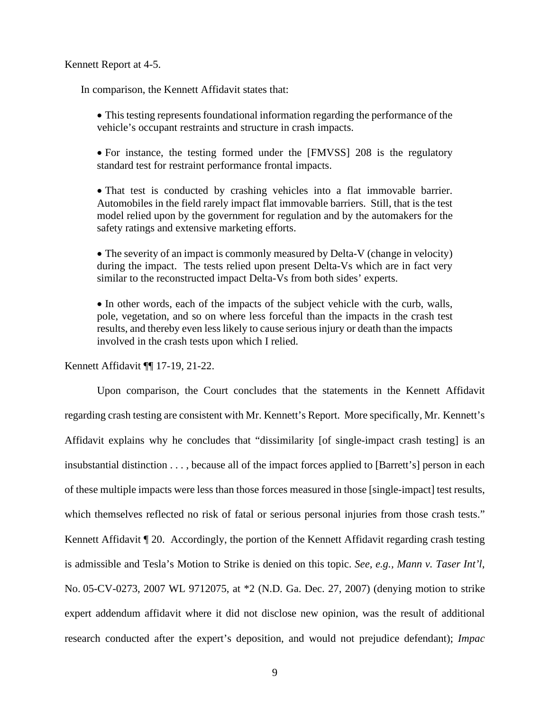#### Kennett Report at 4-5.

In comparison, the Kennett Affidavit states that:

- This testing represents foundational information regarding the performance of the vehicle's occupant restraints and structure in crash impacts.
- For instance, the testing formed under the [FMVSS] 208 is the regulatory standard test for restraint performance frontal impacts.
- That test is conducted by crashing vehicles into a flat immovable barrier. Automobiles in the field rarely impact flat immovable barriers. Still, that is the test model relied upon by the government for regulation and by the automakers for the safety ratings and extensive marketing efforts.
- The severity of an impact is commonly measured by Delta-V (change in velocity) during the impact. The tests relied upon present Delta-Vs which are in fact very similar to the reconstructed impact Delta-Vs from both sides' experts.
- In other words, each of the impacts of the subject vehicle with the curb, walls, pole, vegetation, and so on where less forceful than the impacts in the crash test results, and thereby even less likely to cause serious injury or death than the impacts involved in the crash tests upon which I relied.

Kennett Affidavit ¶¶ 17-19, 21-22.

Upon comparison, the Court concludes that the statements in the Kennett Affidavit regarding crash testing are consistent with Mr. Kennett's Report. More specifically, Mr. Kennett's Affidavit explains why he concludes that "dissimilarity [of single-impact crash testing] is an insubstantial distinction . . . , because all of the impact forces applied to [Barrett's] person in each of these multiple impacts were less than those forces measured in those [single-impact] test results, which themselves reflected no risk of fatal or serious personal injuries from those crash tests." Kennett Affidavit ¶ 20. Accordingly, the portion of the Kennett Affidavit regarding crash testing is admissible and Tesla's Motion to Strike is denied on this topic. *See, e.g., Mann v. Taser Int'l*, No. 05-CV-0273, 2007 WL 9712075, at \*2 (N.D. Ga. Dec. 27, 2007) (denying motion to strike expert addendum affidavit where it did not disclose new opinion, was the result of additional research conducted after the expert's deposition, and would not prejudice defendant); *Impac*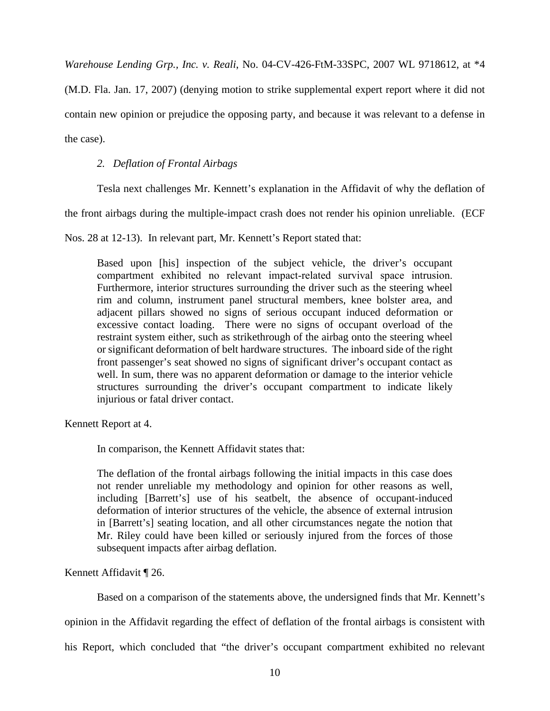*Warehouse Lending Grp., Inc. v. Reali*, No. 04-CV-426-FtM-33SPC, 2007 WL 9718612, at \*4

(M.D. Fla. Jan. 17, 2007) (denying motion to strike supplemental expert report where it did not contain new opinion or prejudice the opposing party, and because it was relevant to a defense in the case).

# *2. Deflation of Frontal Airbags*

Tesla next challenges Mr. Kennett's explanation in the Affidavit of why the deflation of

the front airbags during the multiple-impact crash does not render his opinion unreliable. (ECF

Nos. 28 at 12-13). In relevant part, Mr. Kennett's Report stated that:

Based upon [his] inspection of the subject vehicle, the driver's occupant compartment exhibited no relevant impact-related survival space intrusion. Furthermore, interior structures surrounding the driver such as the steering wheel rim and column, instrument panel structural members, knee bolster area, and adjacent pillars showed no signs of serious occupant induced deformation or excessive contact loading. There were no signs of occupant overload of the restraint system either, such as strikethrough of the airbag onto the steering wheel or significant deformation of belt hardware structures. The inboard side of the right front passenger's seat showed no signs of significant driver's occupant contact as well. In sum, there was no apparent deformation or damage to the interior vehicle structures surrounding the driver's occupant compartment to indicate likely injurious or fatal driver contact.

Kennett Report at 4.

In comparison, the Kennett Affidavit states that:

The deflation of the frontal airbags following the initial impacts in this case does not render unreliable my methodology and opinion for other reasons as well, including [Barrett's] use of his seatbelt, the absence of occupant-induced deformation of interior structures of the vehicle, the absence of external intrusion in [Barrett's] seating location, and all other circumstances negate the notion that Mr. Riley could have been killed or seriously injured from the forces of those subsequent impacts after airbag deflation.

Kennett Affidavit ¶ 26.

Based on a comparison of the statements above, the undersigned finds that Mr. Kennett's

opinion in the Affidavit regarding the effect of deflation of the frontal airbags is consistent with

his Report, which concluded that "the driver's occupant compartment exhibited no relevant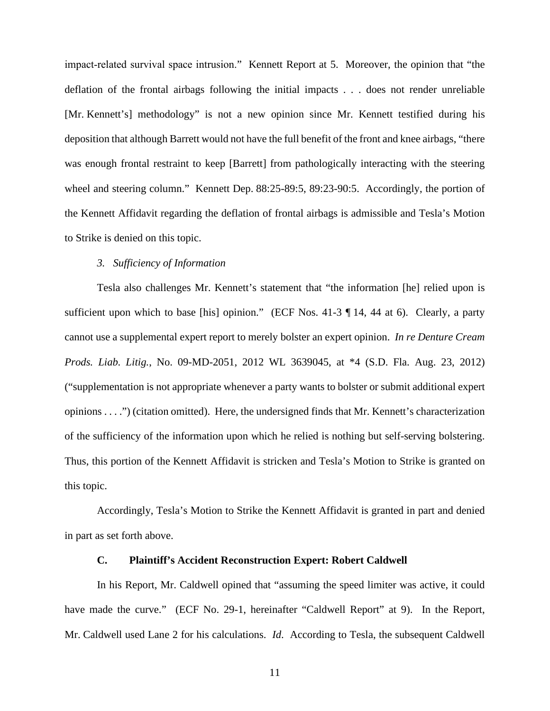impact-related survival space intrusion." Kennett Report at 5. Moreover, the opinion that "the deflation of the frontal airbags following the initial impacts . . . does not render unreliable [Mr. Kennett's] methodology" is not a new opinion since Mr. Kennett testified during his deposition that although Barrett would not have the full benefit of the front and knee airbags, "there was enough frontal restraint to keep [Barrett] from pathologically interacting with the steering wheel and steering column." Kennett Dep. 88:25-89:5, 89:23-90:5. Accordingly, the portion of the Kennett Affidavit regarding the deflation of frontal airbags is admissible and Tesla's Motion to Strike is denied on this topic.

# *3. Sufficiency of Information*

Tesla also challenges Mr. Kennett's statement that "the information [he] relied upon is sufficient upon which to base [his] opinion." (ECF Nos. 41-3 ¶ 14, 44 at 6). Clearly, a party cannot use a supplemental expert report to merely bolster an expert opinion. *In re Denture Cream Prods. Liab. Litig.*, No. 09-MD-2051, 2012 WL 3639045, at \*4 (S.D. Fla. Aug. 23, 2012) ("supplementation is not appropriate whenever a party wants to bolster or submit additional expert opinions . . . .") (citation omitted). Here, the undersigned finds that Mr. Kennett's characterization of the sufficiency of the information upon which he relied is nothing but self-serving bolstering. Thus, this portion of the Kennett Affidavit is stricken and Tesla's Motion to Strike is granted on this topic.

Accordingly, Tesla's Motion to Strike the Kennett Affidavit is granted in part and denied in part as set forth above.

# **C. Plaintiff's Accident Reconstruction Expert: Robert Caldwell**

In his Report, Mr. Caldwell opined that "assuming the speed limiter was active, it could have made the curve." (ECF No. 29-1, hereinafter "Caldwell Report" at 9). In the Report, Mr. Caldwell used Lane 2 for his calculations. *Id*. According to Tesla, the subsequent Caldwell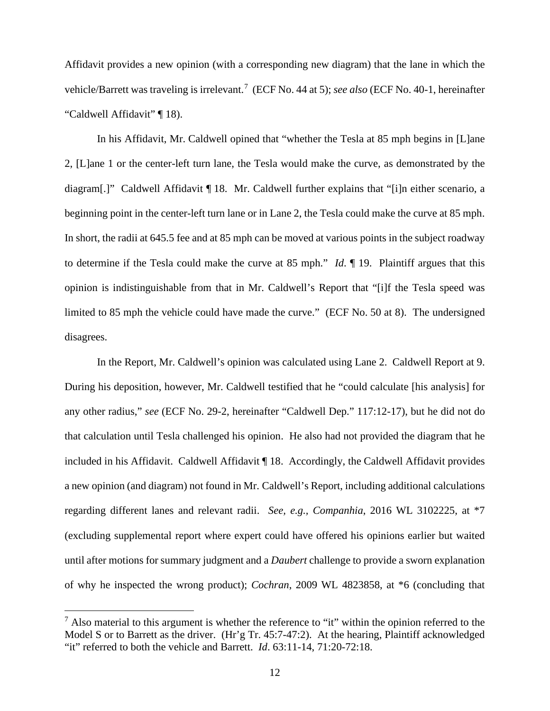Affidavit provides a new opinion (with a corresponding new diagram) that the lane in which the vehicle/Barrett was traveling is irrelevant.<sup>7</sup> (ECF No. 44 at 5); *see also* (ECF No. 40-1, hereinafter "Caldwell Affidavit" ¶ 18).

In his Affidavit, Mr. Caldwell opined that "whether the Tesla at 85 mph begins in [L]ane 2, [L]ane 1 or the center-left turn lane, the Tesla would make the curve, as demonstrated by the diagram[.]" Caldwell Affidavit ¶ 18. Mr. Caldwell further explains that "[i]n either scenario, a beginning point in the center-left turn lane or in Lane 2, the Tesla could make the curve at 85 mph. In short, the radii at 645.5 fee and at 85 mph can be moved at various points in the subject roadway to determine if the Tesla could make the curve at 85 mph." *Id*. ¶ 19. Plaintiff argues that this opinion is indistinguishable from that in Mr. Caldwell's Report that "[i]f the Tesla speed was limited to 85 mph the vehicle could have made the curve." (ECF No. 50 at 8). The undersigned disagrees.

In the Report, Mr. Caldwell's opinion was calculated using Lane 2. Caldwell Report at 9. During his deposition, however, Mr. Caldwell testified that he "could calculate [his analysis] for any other radius," *see* (ECF No. 29-2, hereinafter "Caldwell Dep." 117:12-17), but he did not do that calculation until Tesla challenged his opinion. He also had not provided the diagram that he included in his Affidavit. Caldwell Affidavit ¶ 18. Accordingly, the Caldwell Affidavit provides a new opinion (and diagram) not found in Mr. Caldwell's Report, including additional calculations regarding different lanes and relevant radii. *See, e.g., Companhia*, 2016 WL 3102225, at \*7 (excluding supplemental report where expert could have offered his opinions earlier but waited until after motions for summary judgment and a *Daubert* challenge to provide a sworn explanation of why he inspected the wrong product); *Cochran*, 2009 WL 4823858, at \*6 (concluding that

 $<sup>7</sup>$  Also material to this argument is whether the reference to "it" within the opinion referred to the</sup> Model S or to Barrett as the driver. (Hr'g Tr. 45:7-47:2). At the hearing, Plaintiff acknowledged "it" referred to both the vehicle and Barrett. *Id*. 63:11-14, 71:20-72:18.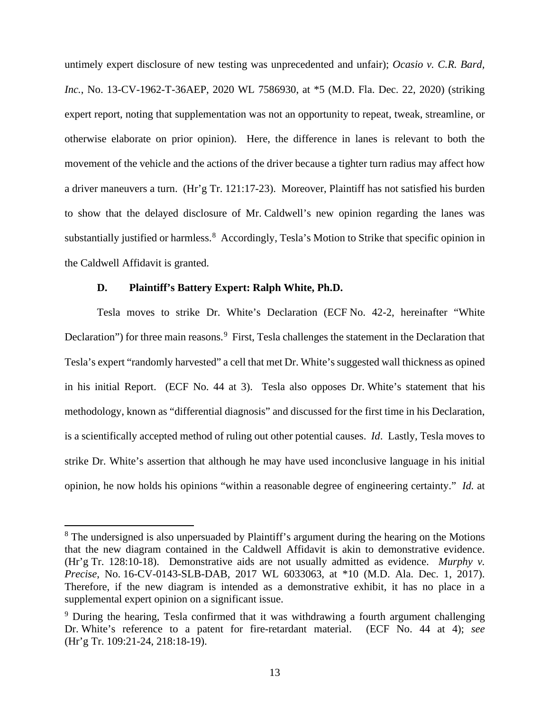untimely expert disclosure of new testing was unprecedented and unfair); *Ocasio v. C.R. Bard, Inc.*, No. 13-CV-1962-T-36AEP, 2020 WL 7586930, at \*5 (M.D. Fla. Dec. 22, 2020) (striking expert report, noting that supplementation was not an opportunity to repeat, tweak, streamline, or otherwise elaborate on prior opinion). Here, the difference in lanes is relevant to both the movement of the vehicle and the actions of the driver because a tighter turn radius may affect how a driver maneuvers a turn. (Hr'g Tr. 121:17-23). Moreover, Plaintiff has not satisfied his burden to show that the delayed disclosure of Mr. Caldwell's new opinion regarding the lanes was substantially justified or harmless.<sup>8</sup> Accordingly, Tesla's Motion to Strike that specific opinion in the Caldwell Affidavit is granted.

### **D. Plaintiff's Battery Expert: Ralph White, Ph.D.**

Tesla moves to strike Dr. White's Declaration (ECF No. 42-2, hereinafter "White Declaration") for three main reasons.<sup>9</sup> First, Tesla challenges the statement in the Declaration that Tesla's expert "randomly harvested" a cell that met Dr. White's suggested wall thickness as opined in his initial Report. (ECF No. 44 at 3). Tesla also opposes Dr. White's statement that his methodology, known as "differential diagnosis" and discussed for the first time in his Declaration, is a scientifically accepted method of ruling out other potential causes. *Id*. Lastly, Tesla moves to strike Dr. White's assertion that although he may have used inconclusive language in his initial opinion, he now holds his opinions "within a reasonable degree of engineering certainty." *Id.* at

<sup>&</sup>lt;sup>8</sup> The undersigned is also unpersuaded by Plaintiff's argument during the hearing on the Motions that the new diagram contained in the Caldwell Affidavit is akin to demonstrative evidence. (Hr'g Tr. 128:10-18). Demonstrative aids are not usually admitted as evidence. *Murphy v. Precise*, No. 16-CV-0143-SLB-DAB, 2017 WL 6033063, at \*10 (M.D. Ala. Dec. 1, 2017). Therefore, if the new diagram is intended as a demonstrative exhibit, it has no place in a supplemental expert opinion on a significant issue.

<sup>&</sup>lt;sup>9</sup> During the hearing, Tesla confirmed that it was withdrawing a fourth argument challenging Dr. White's reference to a patent for fire-retardant material. (ECF No. 44 at 4); *see*  (Hr'g Tr. 109:21-24, 218:18-19).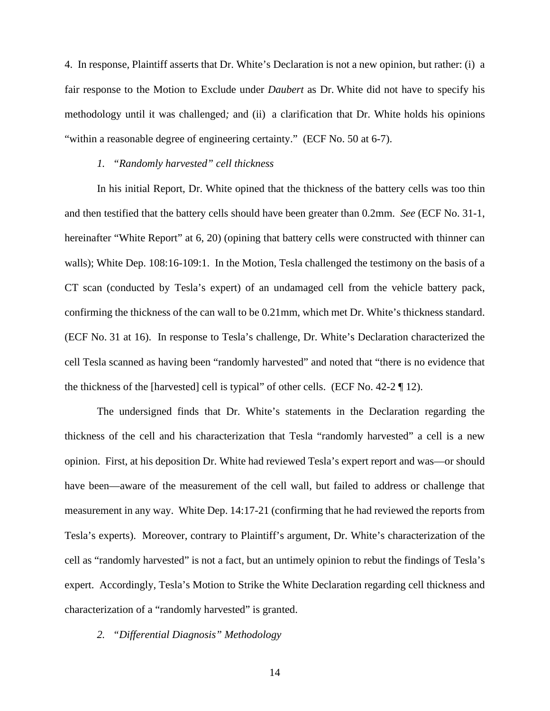4. In response, Plaintiff asserts that Dr. White's Declaration is not a new opinion, but rather: (i) a fair response to the Motion to Exclude under *Daubert* as Dr. White did not have to specify his methodology until it was challenged*;* and (ii) a clarification that Dr. White holds his opinions "within a reasonable degree of engineering certainty." (ECF No. 50 at 6-7).

#### *1. "Randomly harvested" cell thickness*

In his initial Report, Dr. White opined that the thickness of the battery cells was too thin and then testified that the battery cells should have been greater than 0.2mm. *See* (ECF No. 31-1, hereinafter "White Report" at 6, 20) (opining that battery cells were constructed with thinner can walls); White Dep. 108:16-109:1. In the Motion, Tesla challenged the testimony on the basis of a CT scan (conducted by Tesla's expert) of an undamaged cell from the vehicle battery pack, confirming the thickness of the can wall to be 0.21mm, which met Dr. White's thickness standard. (ECF No. 31 at 16). In response to Tesla's challenge, Dr. White's Declaration characterized the cell Tesla scanned as having been "randomly harvested" and noted that "there is no evidence that the thickness of the [harvested] cell is typical" of other cells. (ECF No.  $42-2 \nvert 12$ ).

The undersigned finds that Dr. White's statements in the Declaration regarding the thickness of the cell and his characterization that Tesla "randomly harvested" a cell is a new opinion. First, at his deposition Dr. White had reviewed Tesla's expert report and was—or should have been—aware of the measurement of the cell wall, but failed to address or challenge that measurement in any way. White Dep. 14:17-21 (confirming that he had reviewed the reports from Tesla's experts). Moreover, contrary to Plaintiff's argument, Dr. White's characterization of the cell as "randomly harvested" is not a fact, but an untimely opinion to rebut the findings of Tesla's expert. Accordingly, Tesla's Motion to Strike the White Declaration regarding cell thickness and characterization of a "randomly harvested" is granted.

#### *2. "Differential Diagnosis" Methodology*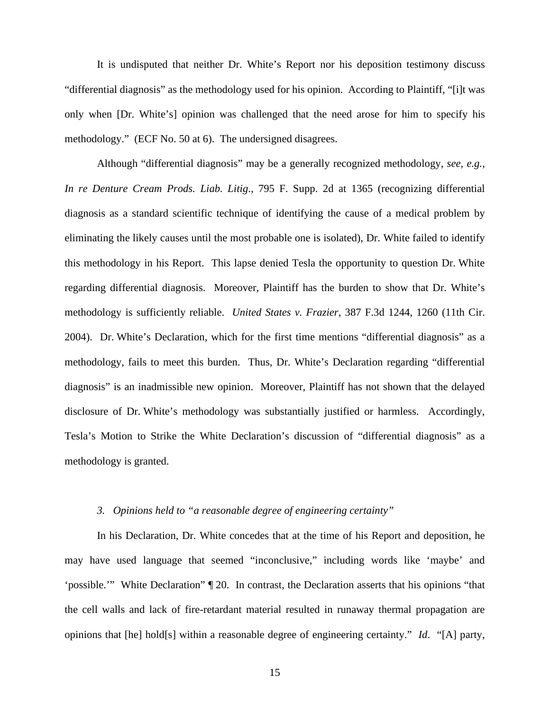It is undisputed that neither Dr. White's Report nor his deposition testimony discuss "differential diagnosis" as the methodology used for his opinion. According to Plaintiff, "[i]t was only when [Dr. White's] opinion was challenged that the need arose for him to specify his methodology." (ECF No. 50 at 6). The undersigned disagrees.

Although "differential diagnosis" may be a generally recognized methodology, *see, e.g.*, *In re Denture Cream Prods. Liab. Litig*., 795 F. Supp. 2d at 1365 (recognizing differential diagnosis as a standard scientific technique of identifying the cause of a medical problem by eliminating the likely causes until the most probable one is isolated), Dr. White failed to identify this methodology in his Report. This lapse denied Tesla the opportunity to question Dr. White regarding differential diagnosis. Moreover, Plaintiff has the burden to show that Dr. White's methodology is sufficiently reliable. *United States v. Frazier*, 387 F.3d 1244, 1260 (11th Cir. 2004). Dr. White's Declaration, which for the first time mentions "differential diagnosis" as a methodology, fails to meet this burden. Thus, Dr. White's Declaration regarding "differential diagnosis" is an inadmissible new opinion. Moreover, Plaintiff has not shown that the delayed disclosure of Dr. White's methodology was substantially justified or harmless. Accordingly, Tesla's Motion to Strike the White Declaration's discussion of "differential diagnosis" as a methodology is granted.

# *3. Opinions held to "a reasonable degree of engineering certainty"*

In his Declaration, Dr. White concedes that at the time of his Report and deposition, he may have used language that seemed "inconclusive," including words like 'maybe' and 'possible.'" White Declaration" ¶ 20. In contrast, the Declaration asserts that his opinions "that the cell walls and lack of fire-retardant material resulted in runaway thermal propagation are opinions that [he] hold[s] within a reasonable degree of engineering certainty." *Id*. "[A] party,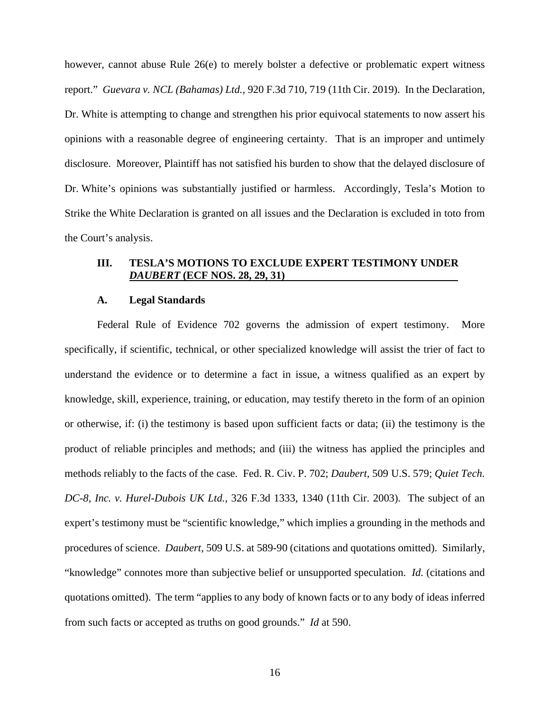however, cannot abuse Rule 26(e) to merely bolster a defective or problematic expert witness report." *Guevara v. NCL (Bahamas) Ltd.*, 920 F.3d 710, 719 (11th Cir. 2019). In the Declaration, Dr. White is attempting to change and strengthen his prior equivocal statements to now assert his opinions with a reasonable degree of engineering certainty. That is an improper and untimely disclosure. Moreover, Plaintiff has not satisfied his burden to show that the delayed disclosure of Dr. White's opinions was substantially justified or harmless. Accordingly, Tesla's Motion to Strike the White Declaration is granted on all issues and the Declaration is excluded in toto from the Court's analysis.

## **III. TESLA'S MOTIONS TO EXCLUDE EXPERT TESTIMONY UNDER**  *DAUBERT* **(ECF NOS. 28, 29, 31)**

#### **A. Legal Standards**

Federal Rule of Evidence 702 governs the admission of expert testimony. More specifically, if scientific, technical, or other specialized knowledge will assist the trier of fact to understand the evidence or to determine a fact in issue, a witness qualified as an expert by knowledge, skill, experience, training, or education, may testify thereto in the form of an opinion or otherwise, if: (i) the testimony is based upon sufficient facts or data; (ii) the testimony is the product of reliable principles and methods; and (iii) the witness has applied the principles and methods reliably to the facts of the case. Fed. R. Civ. P. 702; *Daubert,* 509 U.S. 579; *Quiet Tech. DC-8, Inc. v. Hurel-Dubois UK Ltd.*, 326 F.3d 1333, 1340 (11th Cir. 2003). The subject of an expert's testimony must be "scientific knowledge," which implies a grounding in the methods and procedures of science. *Daubert*, 509 U.S. at 589-90 (citations and quotations omitted). Similarly, "knowledge" connotes more than subjective belief or unsupported speculation. *Id.* (citations and quotations omitted). The term "applies to any body of known facts or to any body of ideas inferred from such facts or accepted as truths on good grounds." *Id* at 590.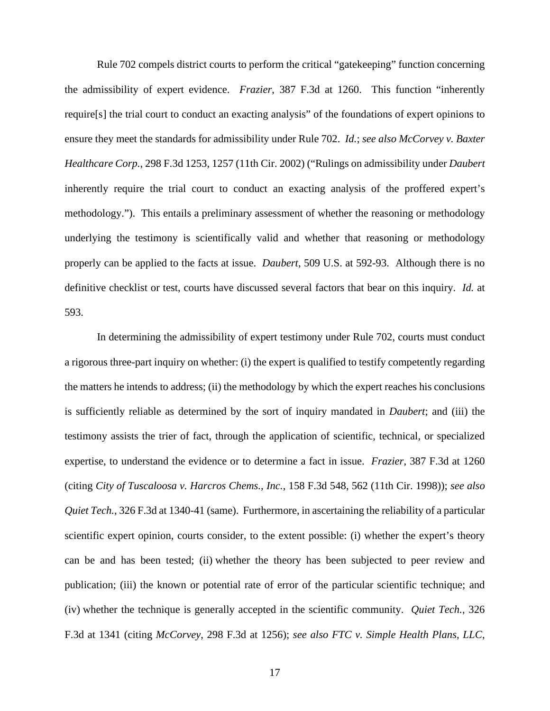Rule 702 compels district courts to perform the critical "gatekeeping" function concerning the admissibility of expert evidence. *Frazier*, 387 F.3d at 1260. This function "inherently require[s] the trial court to conduct an exacting analysis" of the foundations of expert opinions to ensure they meet the standards for admissibility under Rule 702. *Id.*; *see also McCorvey v. Baxter Healthcare Corp.*, 298 F.3d 1253, 1257 (11th Cir. 2002) ("Rulings on admissibility under *Daubert* inherently require the trial court to conduct an exacting analysis of the proffered expert's methodology."). This entails a preliminary assessment of whether the reasoning or methodology underlying the testimony is scientifically valid and whether that reasoning or methodology properly can be applied to the facts at issue. *Daubert*, 509 U.S. at 592-93. Although there is no definitive checklist or test, courts have discussed several factors that bear on this inquiry. *Id.* at 593.

In determining the admissibility of expert testimony under Rule 702, courts must conduct a rigorous three-part inquiry on whether: (i) the expert is qualified to testify competently regarding the matters he intends to address; (ii) the methodology by which the expert reaches his conclusions is sufficiently reliable as determined by the sort of inquiry mandated in *Daubert*; and (iii) the testimony assists the trier of fact, through the application of scientific, technical, or specialized expertise, to understand the evidence or to determine a fact in issue. *Frazier*, 387 F.3d at 1260 (citing *City of Tuscaloosa v. Harcros Chems., Inc.*, 158 F.3d 548, 562 (11th Cir. 1998)); *see also Quiet Tech.*, 326 F.3d at 1340-41 (same). Furthermore, in ascertaining the reliability of a particular scientific expert opinion, courts consider, to the extent possible: (i) whether the expert's theory can be and has been tested; (ii) whether the theory has been subjected to peer review and publication; (iii) the known or potential rate of error of the particular scientific technique; and (iv) whether the technique is generally accepted in the scientific community. *Quiet Tech.*, 326 F.3d at 1341 (citing *McCorvey*, 298 F.3d at 1256); *see also FTC v. Simple Health Plans, LLC*,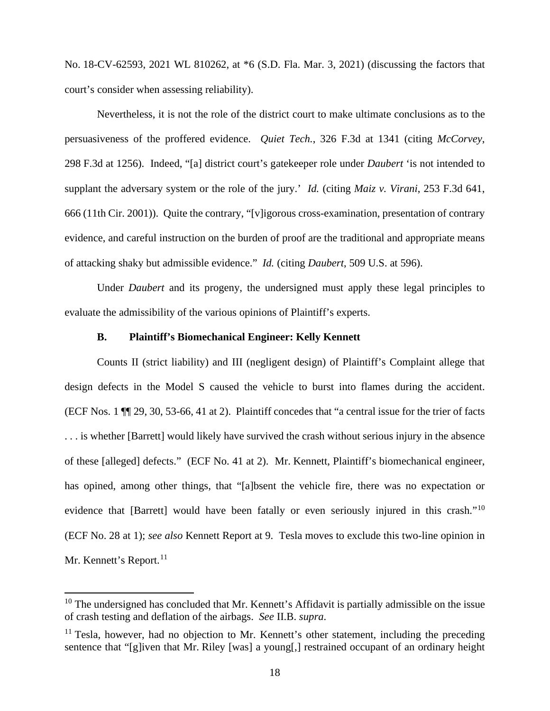No. 18-CV-62593, 2021 WL 810262, at \*6 (S.D. Fla. Mar. 3, 2021) (discussing the factors that court's consider when assessing reliability).

Nevertheless, it is not the role of the district court to make ultimate conclusions as to the persuasiveness of the proffered evidence. *Quiet Tech.*, 326 F.3d at 1341 (citing *McCorvey*, 298 F.3d at 1256). Indeed, "[a] district court's gatekeeper role under *Daubert* 'is not intended to supplant the adversary system or the role of the jury.' *Id.* (citing *Maiz v. Virani*, 253 F.3d 641, 666 (11th Cir. 2001)). Quite the contrary, "[v]igorous cross-examination, presentation of contrary evidence, and careful instruction on the burden of proof are the traditional and appropriate means of attacking shaky but admissible evidence." *Id.* (citing *Daubert*, 509 U.S. at 596).

Under *Daubert* and its progeny, the undersigned must apply these legal principles to evaluate the admissibility of the various opinions of Plaintiff's experts.

### **B. Plaintiff's Biomechanical Engineer: Kelly Kennett**

Counts II (strict liability) and III (negligent design) of Plaintiff's Complaint allege that design defects in the Model S caused the vehicle to burst into flames during the accident. (ECF Nos. 1 ¶¶ 29, 30, 53-66, 41 at 2). Plaintiff concedes that "a central issue for the trier of facts . . . is whether [Barrett] would likely have survived the crash without serious injury in the absence of these [alleged] defects." (ECF No. 41 at 2). Mr. Kennett, Plaintiff's biomechanical engineer, has opined, among other things, that "[a]bsent the vehicle fire, there was no expectation or evidence that [Barrett] would have been fatally or even seriously injured in this crash."<sup>10</sup> (ECF No. 28 at 1); *see also* Kennett Report at 9. Tesla moves to exclude this two-line opinion in Mr. Kennett's Report.<sup>11</sup>

 $10$  The undersigned has concluded that Mr. Kennett's Affidavit is partially admissible on the issue of crash testing and deflation of the airbags. *See* II.B. *supra*.

 $11$  Tesla, however, had no objection to Mr. Kennett's other statement, including the preceding sentence that "[g]iven that Mr. Riley [was] a young[,] restrained occupant of an ordinary height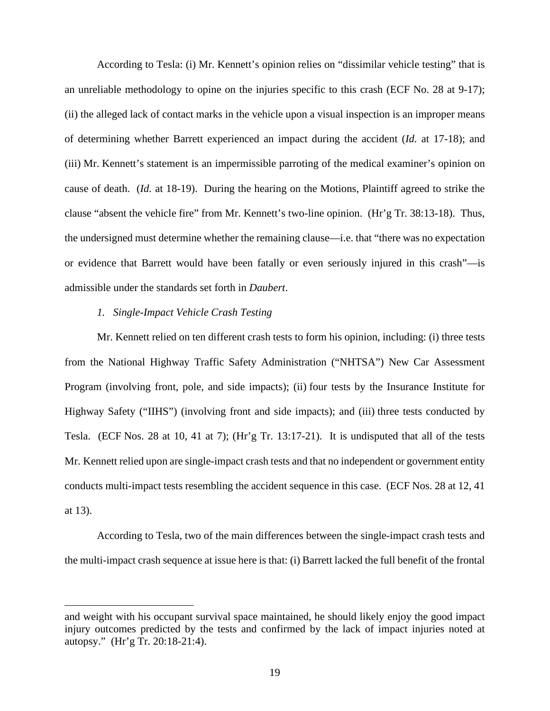According to Tesla: (i) Mr. Kennett's opinion relies on "dissimilar vehicle testing" that is an unreliable methodology to opine on the injuries specific to this crash (ECF No. 28 at 9-17); (ii) the alleged lack of contact marks in the vehicle upon a visual inspection is an improper means of determining whether Barrett experienced an impact during the accident (*Id.* at 17-18); and (iii) Mr. Kennett's statement is an impermissible parroting of the medical examiner's opinion on cause of death. (*Id.* at 18-19). During the hearing on the Motions, Plaintiff agreed to strike the clause "absent the vehicle fire" from Mr. Kennett's two-line opinion. (Hr'g Tr. 38:13-18). Thus, the undersigned must determine whether the remaining clause—i.e. that "there was no expectation or evidence that Barrett would have been fatally or even seriously injured in this crash"—is admissible under the standards set forth in *Daubert*.

#### *1. Single-Impact Vehicle Crash Testing*

Mr. Kennett relied on ten different crash tests to form his opinion, including: (i) three tests from the National Highway Traffic Safety Administration ("NHTSA") New Car Assessment Program (involving front, pole, and side impacts); (ii) four tests by the Insurance Institute for Highway Safety ("IIHS") (involving front and side impacts); and (iii) three tests conducted by Tesla. (ECF Nos. 28 at 10, 41 at 7); (Hr'g Tr. 13:17-21). It is undisputed that all of the tests Mr. Kennett relied upon are single-impact crash tests and that no independent or government entity conducts multi-impact tests resembling the accident sequence in this case. (ECF Nos. 28 at 12, 41 at 13).

According to Tesla, two of the main differences between the single-impact crash tests and the multi-impact crash sequence at issue here is that: (i) Barrett lacked the full benefit of the frontal

and weight with his occupant survival space maintained, he should likely enjoy the good impact injury outcomes predicted by the tests and confirmed by the lack of impact injuries noted at autopsy." (Hr'g Tr. 20:18-21:4).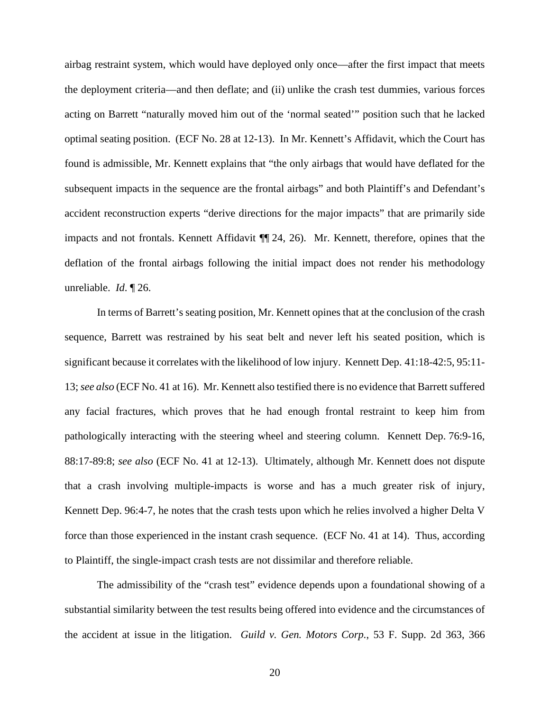airbag restraint system, which would have deployed only once—after the first impact that meets the deployment criteria—and then deflate; and (ii) unlike the crash test dummies, various forces acting on Barrett "naturally moved him out of the 'normal seated'" position such that he lacked optimal seating position. (ECF No. 28 at 12-13). In Mr. Kennett's Affidavit, which the Court has found is admissible, Mr. Kennett explains that "the only airbags that would have deflated for the subsequent impacts in the sequence are the frontal airbags" and both Plaintiff's and Defendant's accident reconstruction experts "derive directions for the major impacts" that are primarily side impacts and not frontals. Kennett Affidavit ¶¶ 24, 26). Mr. Kennett, therefore, opines that the deflation of the frontal airbags following the initial impact does not render his methodology unreliable. *Id*. ¶ 26.

In terms of Barrett's seating position, Mr. Kennett opines that at the conclusion of the crash sequence, Barrett was restrained by his seat belt and never left his seated position, which is significant because it correlates with the likelihood of low injury. Kennett Dep. 41:18-42:5, 95:11- 13; *see also* (ECF No. 41 at 16). Mr. Kennett also testified there is no evidence that Barrett suffered any facial fractures, which proves that he had enough frontal restraint to keep him from pathologically interacting with the steering wheel and steering column. Kennett Dep. 76:9-16, 88:17-89:8; *see also* (ECF No. 41 at 12-13). Ultimately, although Mr. Kennett does not dispute that a crash involving multiple-impacts is worse and has a much greater risk of injury, Kennett Dep. 96:4-7, he notes that the crash tests upon which he relies involved a higher Delta V force than those experienced in the instant crash sequence. (ECF No. 41 at 14). Thus, according to Plaintiff, the single-impact crash tests are not dissimilar and therefore reliable.

The admissibility of the "crash test" evidence depends upon a foundational showing of a substantial similarity between the test results being offered into evidence and the circumstances of the accident at issue in the litigation. *Guild v. Gen. Motors Corp.*, 53 F. Supp. 2d 363, 366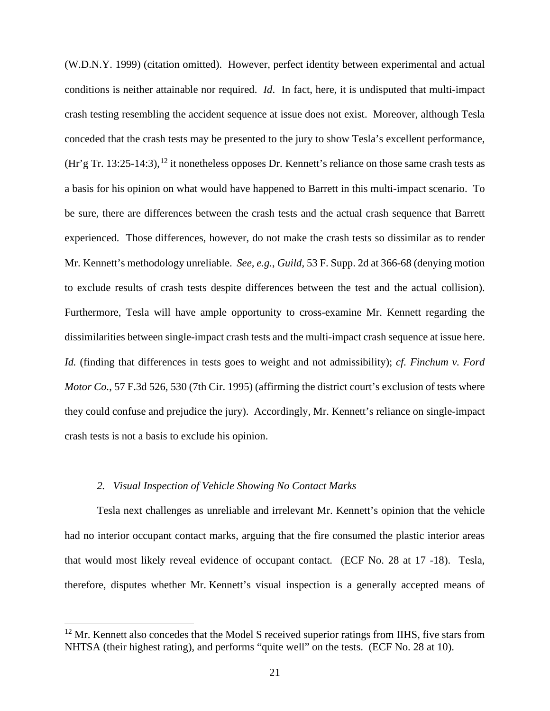(W.D.N.Y. 1999) (citation omitted). However, perfect identity between experimental and actual conditions is neither attainable nor required. *Id*. In fact, here, it is undisputed that multi-impact crash testing resembling the accident sequence at issue does not exist. Moreover, although Tesla conceded that the crash tests may be presented to the jury to show Tesla's excellent performance,  $(Hr'g Tr. 13:25-14:3)$ ,  $^{12}$  it nonetheless opposes Dr. Kennett's reliance on those same crash tests as a basis for his opinion on what would have happened to Barrett in this multi-impact scenario. To be sure, there are differences between the crash tests and the actual crash sequence that Barrett experienced. Those differences, however, do not make the crash tests so dissimilar as to render Mr. Kennett's methodology unreliable. *See, e.g.*, *Guild*, 53 F. Supp. 2d at 366-68 (denying motion to exclude results of crash tests despite differences between the test and the actual collision). Furthermore, Tesla will have ample opportunity to cross-examine Mr. Kennett regarding the dissimilarities between single-impact crash tests and the multi-impact crash sequence at issue here. *Id.* (finding that differences in tests goes to weight and not admissibility); *cf. Finchum v. Ford Motor Co.*, 57 F.3d 526, 530 (7th Cir. 1995) (affirming the district court's exclusion of tests where they could confuse and prejudice the jury). Accordingly, Mr. Kennett's reliance on single-impact crash tests is not a basis to exclude his opinion.

### *2. Visual Inspection of Vehicle Showing No Contact Marks*

Tesla next challenges as unreliable and irrelevant Mr. Kennett's opinion that the vehicle had no interior occupant contact marks, arguing that the fire consumed the plastic interior areas that would most likely reveal evidence of occupant contact. (ECF No. 28 at 17 -18). Tesla, therefore, disputes whether Mr. Kennett's visual inspection is a generally accepted means of

 $12$  Mr. Kennett also concedes that the Model S received superior ratings from IIHS, five stars from NHTSA (their highest rating), and performs "quite well" on the tests. (ECF No. 28 at 10).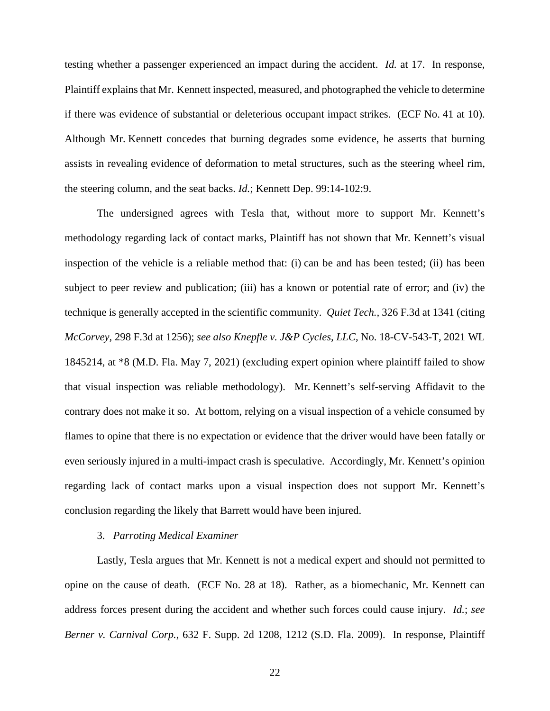testing whether a passenger experienced an impact during the accident. *Id.* at 17. In response, Plaintiff explains that Mr. Kennett inspected, measured, and photographed the vehicle to determine if there was evidence of substantial or deleterious occupant impact strikes. (ECF No. 41 at 10). Although Mr. Kennett concedes that burning degrades some evidence, he asserts that burning assists in revealing evidence of deformation to metal structures, such as the steering wheel rim, the steering column, and the seat backs. *Id.*; Kennett Dep. 99:14-102:9.

The undersigned agrees with Tesla that, without more to support Mr. Kennett's methodology regarding lack of contact marks, Plaintiff has not shown that Mr. Kennett's visual inspection of the vehicle is a reliable method that: (i) can be and has been tested; (ii) has been subject to peer review and publication; (iii) has a known or potential rate of error; and (iv) the technique is generally accepted in the scientific community. *Quiet Tech.,* 326 F.3d at 1341 (citing *McCorvey*, 298 F.3d at 1256); *see also Knepfle v. J&P Cycles, LLC*, No. 18-CV-543-T, 2021 WL 1845214, at \*8 (M.D. Fla. May 7, 2021) (excluding expert opinion where plaintiff failed to show that visual inspection was reliable methodology). Mr. Kennett's self-serving Affidavit to the contrary does not make it so. At bottom, relying on a visual inspection of a vehicle consumed by flames to opine that there is no expectation or evidence that the driver would have been fatally or even seriously injured in a multi-impact crash is speculative. Accordingly, Mr. Kennett's opinion regarding lack of contact marks upon a visual inspection does not support Mr. Kennett's conclusion regarding the likely that Barrett would have been injured.

### 3. *Parroting Medical Examiner*

Lastly, Tesla argues that Mr. Kennett is not a medical expert and should not permitted to opine on the cause of death. (ECF No. 28 at 18). Rather, as a biomechanic, Mr. Kennett can address forces present during the accident and whether such forces could cause injury. *Id.*; *see Berner v. Carnival Corp.*, 632 F. Supp. 2d 1208, 1212 (S.D. Fla. 2009). In response, Plaintiff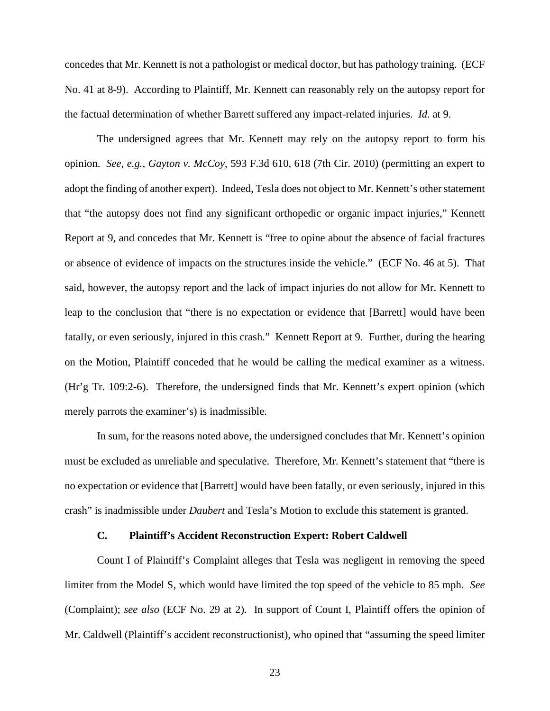concedes that Mr. Kennett is not a pathologist or medical doctor, but has pathology training. (ECF No. 41 at 8-9). According to Plaintiff, Mr. Kennett can reasonably rely on the autopsy report for the factual determination of whether Barrett suffered any impact-related injuries. *Id.* at 9.

The undersigned agrees that Mr. Kennett may rely on the autopsy report to form his opinion. *See, e.g.*, *Gayton v. McCoy*, 593 F.3d 610, 618 (7th Cir. 2010) (permitting an expert to adopt the finding of another expert). Indeed, Tesla does not object to Mr. Kennett's other statement that "the autopsy does not find any significant orthopedic or organic impact injuries," Kennett Report at 9, and concedes that Mr. Kennett is "free to opine about the absence of facial fractures or absence of evidence of impacts on the structures inside the vehicle." (ECF No. 46 at 5). That said, however, the autopsy report and the lack of impact injuries do not allow for Mr. Kennett to leap to the conclusion that "there is no expectation or evidence that [Barrett] would have been fatally, or even seriously, injured in this crash." Kennett Report at 9. Further, during the hearing on the Motion, Plaintiff conceded that he would be calling the medical examiner as a witness. (Hr'g Tr. 109:2-6). Therefore, the undersigned finds that Mr. Kennett's expert opinion (which merely parrots the examiner's) is inadmissible.

In sum, for the reasons noted above, the undersigned concludes that Mr. Kennett's opinion must be excluded as unreliable and speculative. Therefore, Mr. Kennett's statement that "there is no expectation or evidence that [Barrett] would have been fatally, or even seriously, injured in this crash" is inadmissible under *Daubert* and Tesla's Motion to exclude this statement is granted.

# **C. Plaintiff's Accident Reconstruction Expert: Robert Caldwell**

Count I of Plaintiff's Complaint alleges that Tesla was negligent in removing the speed limiter from the Model S, which would have limited the top speed of the vehicle to 85 mph. *See* (Complaint); *see also* (ECF No. 29 at 2). In support of Count I, Plaintiff offers the opinion of Mr. Caldwell (Plaintiff's accident reconstructionist), who opined that "assuming the speed limiter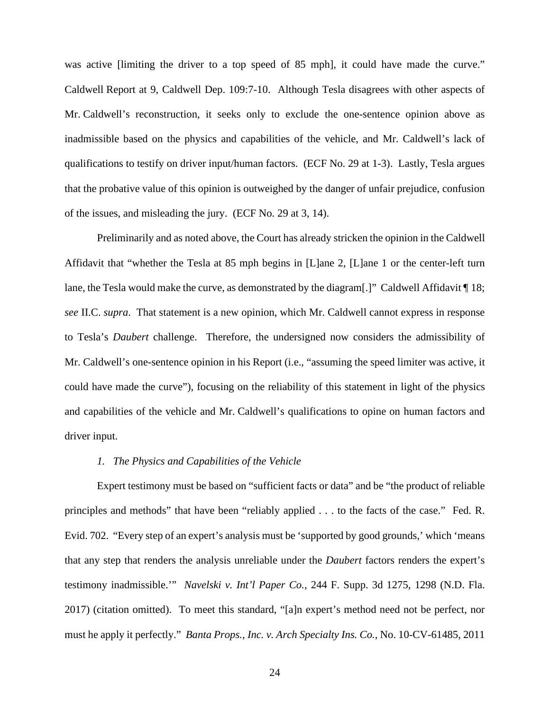was active [limiting the driver to a top speed of 85 mph], it could have made the curve." Caldwell Report at 9, Caldwell Dep. 109:7-10. Although Tesla disagrees with other aspects of Mr. Caldwell's reconstruction, it seeks only to exclude the one-sentence opinion above as inadmissible based on the physics and capabilities of the vehicle, and Mr. Caldwell's lack of qualifications to testify on driver input/human factors. (ECF No. 29 at 1-3). Lastly, Tesla argues that the probative value of this opinion is outweighed by the danger of unfair prejudice, confusion of the issues, and misleading the jury. (ECF No. 29 at 3, 14).

Preliminarily and as noted above, the Court has already stricken the opinion in the Caldwell Affidavit that "whether the Tesla at 85 mph begins in [L]ane 2, [L]ane 1 or the center-left turn lane, the Tesla would make the curve, as demonstrated by the diagram[.]" Caldwell Affidavit ¶ 18; *see* II.C. *supra*. That statement is a new opinion, which Mr. Caldwell cannot express in response to Tesla's *Daubert* challenge. Therefore, the undersigned now considers the admissibility of Mr. Caldwell's one-sentence opinion in his Report (i.e., "assuming the speed limiter was active, it could have made the curve"), focusing on the reliability of this statement in light of the physics and capabilities of the vehicle and Mr. Caldwell's qualifications to opine on human factors and driver input.

#### *1. The Physics and Capabilities of the Vehicle*

Expert testimony must be based on "sufficient facts or data" and be "the product of reliable principles and methods" that have been "reliably applied . . . to the facts of the case." Fed. R. Evid. 702. "Every step of an expert's analysis must be 'supported by good grounds,' which 'means that any step that renders the analysis unreliable under the *Daubert* factors renders the expert's testimony inadmissible.'" *Navelski v. Int'l Paper Co.*, 244 F. Supp. 3d 1275, 1298 (N.D. Fla. 2017) (citation omitted). To meet this standard, "[a]n expert's method need not be perfect, nor must he apply it perfectly." *Banta Props., Inc. v. Arch Specialty Ins. Co.*, No. 10-CV-61485, 2011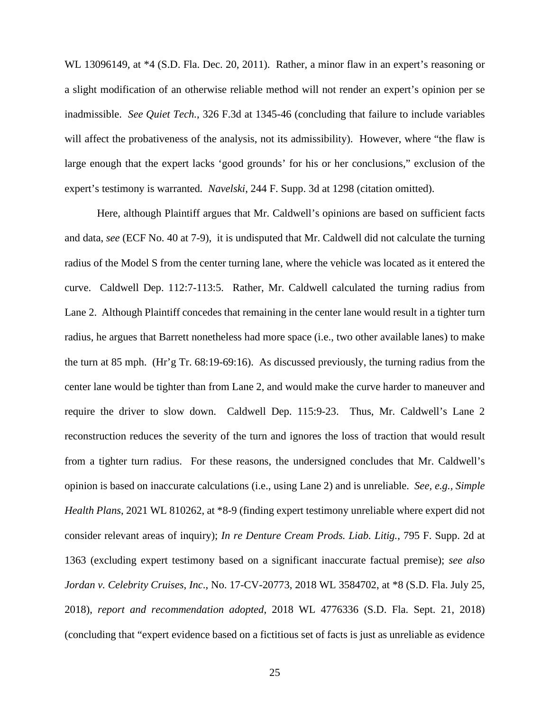WL 13096149, at \*4 (S.D. Fla. Dec. 20, 2011). Rather, a minor flaw in an expert's reasoning or a slight modification of an otherwise reliable method will not render an expert's opinion per se inadmissible. *See Quiet Tech.*, 326 F.3d at 1345-46 (concluding that failure to include variables will affect the probativeness of the analysis, not its admissibility). However, where "the flaw is large enough that the expert lacks 'good grounds' for his or her conclusions," exclusion of the expert's testimony is warranted*. Navelski*, 244 F. Supp. 3d at 1298 (citation omitted).

Here, although Plaintiff argues that Mr. Caldwell's opinions are based on sufficient facts and data, *see* (ECF No. 40 at 7-9), it is undisputed that Mr. Caldwell did not calculate the turning radius of the Model S from the center turning lane, where the vehicle was located as it entered the curve. Caldwell Dep. 112:7-113:5. Rather, Mr. Caldwell calculated the turning radius from Lane 2. Although Plaintiff concedes that remaining in the center lane would result in a tighter turn radius, he argues that Barrett nonetheless had more space (i.e., two other available lanes) to make the turn at 85 mph. (Hr'g Tr. 68:19-69:16). As discussed previously, the turning radius from the center lane would be tighter than from Lane 2, and would make the curve harder to maneuver and require the driver to slow down. Caldwell Dep. 115:9-23. Thus, Mr. Caldwell's Lane 2 reconstruction reduces the severity of the turn and ignores the loss of traction that would result from a tighter turn radius. For these reasons, the undersigned concludes that Mr. Caldwell's opinion is based on inaccurate calculations (i.e., using Lane 2) and is unreliable. *See, e.g., Simple Health Plans*, 2021 WL 810262, at \*8-9 (finding expert testimony unreliable where expert did not consider relevant areas of inquiry); *In re Denture Cream Prods. Liab. Litig.*, 795 F. Supp. 2d at 1363 (excluding expert testimony based on a significant inaccurate factual premise); *see also Jordan v. Celebrity Cruises*, *Inc*., No. 17-CV-20773, 2018 WL 3584702, at \*8 (S.D. Fla. July 25, 2018), *report and recommendation adopted*, 2018 WL 4776336 (S.D. Fla. Sept. 21, 2018) (concluding that "expert evidence based on a fictitious set of facts is just as unreliable as evidence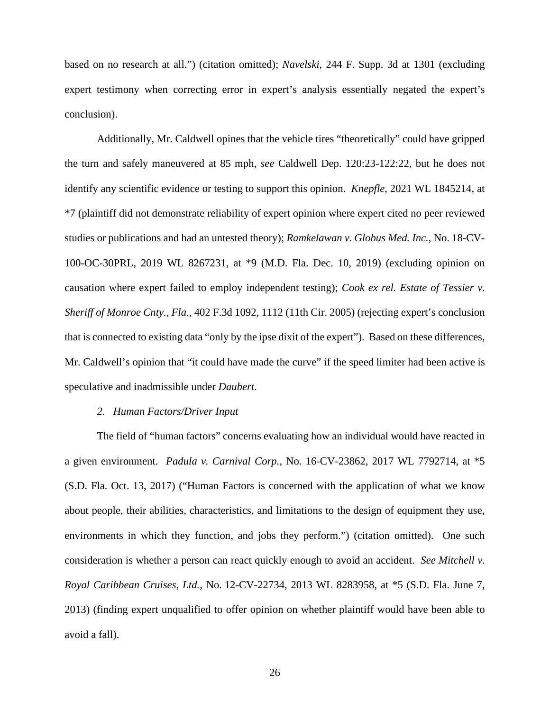based on no research at all.") (citation omitted); *Navelski*, 244 F. Supp. 3d at 1301 (excluding expert testimony when correcting error in expert's analysis essentially negated the expert's conclusion).

Additionally, Mr. Caldwell opines that the vehicle tires "theoretically" could have gripped the turn and safely maneuvered at 85 mph, *see* Caldwell Dep. 120:23-122:22, but he does not identify any scientific evidence or testing to support this opinion. *Knepfle*, 2021 WL 1845214, at \*7 (plaintiff did not demonstrate reliability of expert opinion where expert cited no peer reviewed studies or publications and had an untested theory); *Ramkelawan v. Globus Med. Inc.*, No. 18-CV-100-OC-30PRL, 2019 WL 8267231, at \*9 (M.D. Fla. Dec. 10, 2019) (excluding opinion on causation where expert failed to employ independent testing); *Cook ex rel. Estate of Tessier v. Sheriff of Monroe Cnty., Fla.*, 402 F.3d 1092, 1112 (11th Cir. 2005) (rejecting expert's conclusion that is connected to existing data "only by the ipse dixit of the expert"). Based on these differences, Mr. Caldwell's opinion that "it could have made the curve" if the speed limiter had been active is speculative and inadmissible under *Daubert*.

#### *2. Human Factors/Driver Input*

The field of "human factors" concerns evaluating how an individual would have reacted in a given environment. *Padula v. Carnival Corp.*, No. 16-CV-23862, 2017 WL 7792714, at \*5 (S.D. Fla. Oct. 13, 2017) ("Human Factors is concerned with the application of what we know about people, their abilities, characteristics, and limitations to the design of equipment they use, environments in which they function, and jobs they perform.") (citation omitted). One such consideration is whether a person can react quickly enough to avoid an accident. *See Mitchell v. Royal Caribbean Cruises, Ltd.*, No. 12-CV-22734, 2013 WL 8283958, at \*5 (S.D. Fla. June 7, 2013) (finding expert unqualified to offer opinion on whether plaintiff would have been able to avoid a fall).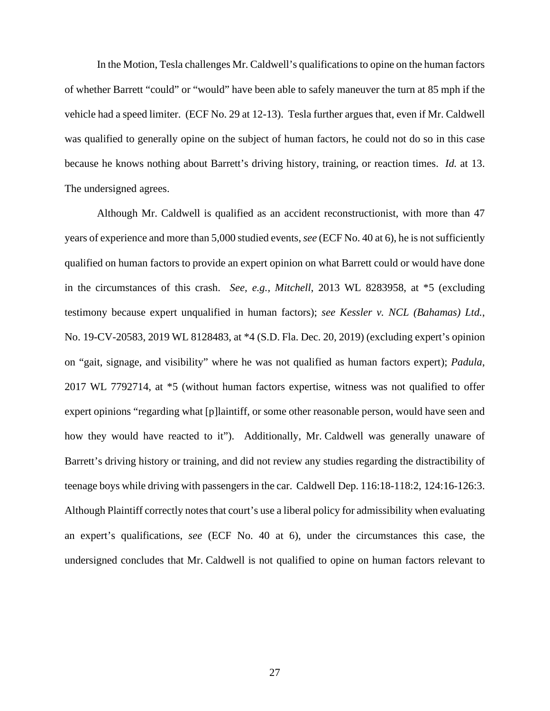In the Motion, Tesla challenges Mr. Caldwell's qualificationsto opine on the human factors of whether Barrett "could" or "would" have been able to safely maneuver the turn at 85 mph if the vehicle had a speed limiter. (ECF No. 29 at 12-13). Tesla further argues that, even if Mr. Caldwell was qualified to generally opine on the subject of human factors, he could not do so in this case because he knows nothing about Barrett's driving history, training, or reaction times. *Id.* at 13. The undersigned agrees.

Although Mr. Caldwell is qualified as an accident reconstructionist, with more than 47 years of experience and more than 5,000 studied events, *see* (ECF No. 40 at 6), he is not sufficiently qualified on human factors to provide an expert opinion on what Barrett could or would have done in the circumstances of this crash. *See, e.g., Mitchell*, 2013 WL 8283958, at \*5 (excluding testimony because expert unqualified in human factors); *see Kessler v. NCL (Bahamas) Ltd.*, No. 19-CV-20583, 2019 WL 8128483, at \*4 (S.D. Fla. Dec. 20, 2019) (excluding expert's opinion on "gait, signage, and visibility" where he was not qualified as human factors expert); *Padula*, 2017 WL 7792714, at \*5 (without human factors expertise, witness was not qualified to offer expert opinions "regarding what [p]laintiff, or some other reasonable person, would have seen and how they would have reacted to it"). Additionally, Mr. Caldwell was generally unaware of Barrett's driving history or training, and did not review any studies regarding the distractibility of teenage boys while driving with passengersin the car. Caldwell Dep. 116:18-118:2, 124:16-126:3. Although Plaintiff correctly notes that court's use a liberal policy for admissibility when evaluating an expert's qualifications, *see* (ECF No. 40 at 6), under the circumstances this case, the undersigned concludes that Mr. Caldwell is not qualified to opine on human factors relevant to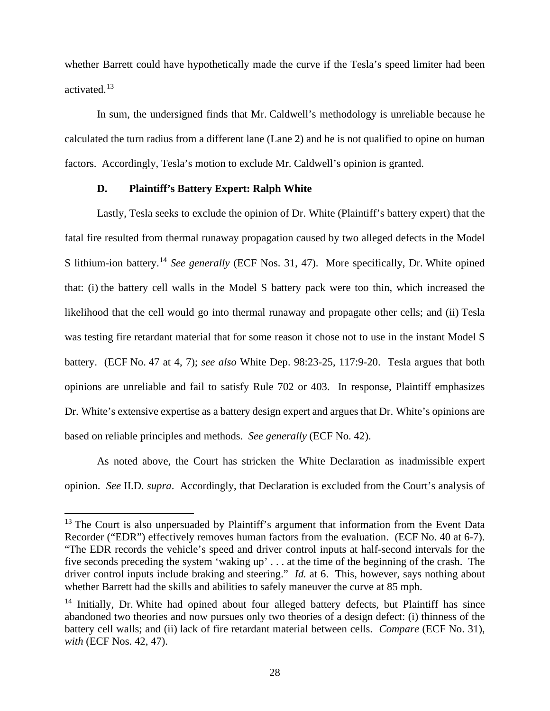whether Barrett could have hypothetically made the curve if the Tesla's speed limiter had been activated. 13

In sum, the undersigned finds that Mr. Caldwell's methodology is unreliable because he calculated the turn radius from a different lane (Lane 2) and he is not qualified to opine on human factors. Accordingly, Tesla's motion to exclude Mr. Caldwell's opinion is granted.

### **D. Plaintiff's Battery Expert: Ralph White**

Lastly, Tesla seeks to exclude the opinion of Dr. White (Plaintiff's battery expert) that the fatal fire resulted from thermal runaway propagation caused by two alleged defects in the Model S lithium-ion battery. <sup>14</sup> *See generally* (ECF Nos. 31, 47). More specifically, Dr. White opined that: (i) the battery cell walls in the Model S battery pack were too thin, which increased the likelihood that the cell would go into thermal runaway and propagate other cells; and (ii) Tesla was testing fire retardant material that for some reason it chose not to use in the instant Model S battery. (ECF No. 47 at 4, 7); *see also* White Dep. 98:23-25, 117:9-20. Tesla argues that both opinions are unreliable and fail to satisfy Rule 702 or 403. In response, Plaintiff emphasizes Dr. White's extensive expertise as a battery design expert and argues that Dr. White's opinions are based on reliable principles and methods. *See generally* (ECF No. 42).

As noted above, the Court has stricken the White Declaration as inadmissible expert opinion. *See* II.D. *supra*. Accordingly, that Declaration is excluded from the Court's analysis of

<sup>&</sup>lt;sup>13</sup> The Court is also unpersuaded by Plaintiff's argument that information from the Event Data Recorder ("EDR") effectively removes human factors from the evaluation. (ECF No. 40 at 6-7). "The EDR records the vehicle's speed and driver control inputs at half-second intervals for the five seconds preceding the system 'waking up' . . . at the time of the beginning of the crash. The driver control inputs include braking and steering." *Id.* at 6. This, however, says nothing about whether Barrett had the skills and abilities to safely maneuver the curve at 85 mph.

 $14$  Initially, Dr. White had opined about four alleged battery defects, but Plaintiff has since abandoned two theories and now pursues only two theories of a design defect: (i) thinness of the battery cell walls; and (ii) lack of fire retardant material between cells. *Compare* (ECF No. 31), *with* (ECF Nos. 42, 47).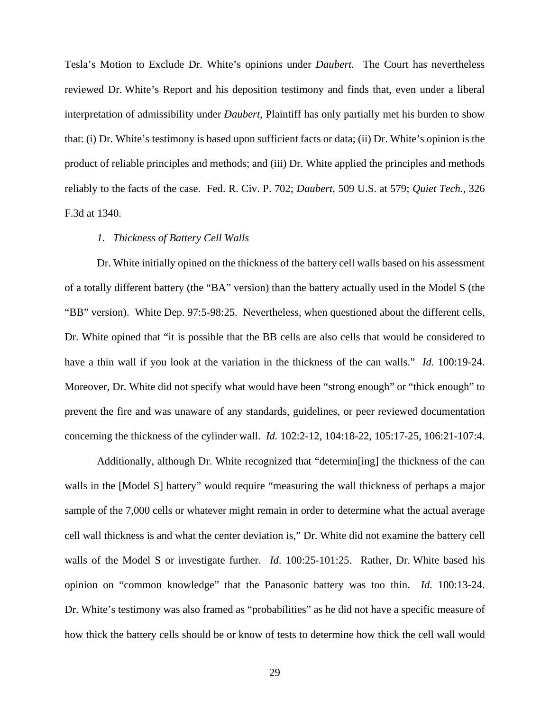Tesla's Motion to Exclude Dr. White's opinions under *Daubert.* The Court has nevertheless reviewed Dr. White's Report and his deposition testimony and finds that, even under a liberal interpretation of admissibility under *Daubert*, Plaintiff has only partially met his burden to show that: (i) Dr. White's testimony is based upon sufficient facts or data; (ii) Dr. White's opinion is the product of reliable principles and methods; and (iii) Dr. White applied the principles and methods reliably to the facts of the case. Fed. R. Civ. P. 702; *Daubert*, 509 U.S. at 579; *Quiet Tech.,* 326 F.3d at 1340.

#### *1. Thickness of Battery Cell Walls*

Dr. White initially opined on the thickness of the battery cell walls based on his assessment of a totally different battery (the "BA" version) than the battery actually used in the Model S (the "BB" version). White Dep. 97:5-98:25. Nevertheless, when questioned about the different cells, Dr. White opined that "it is possible that the BB cells are also cells that would be considered to have a thin wall if you look at the variation in the thickness of the can walls." *Id.* 100:19-24. Moreover, Dr. White did not specify what would have been "strong enough" or "thick enough" to prevent the fire and was unaware of any standards, guidelines, or peer reviewed documentation concerning the thickness of the cylinder wall. *Id.* 102:2-12, 104:18-22, 105:17-25, 106:21-107:4.

Additionally, although Dr. White recognized that "determin[ing] the thickness of the can walls in the [Model S] battery" would require "measuring the wall thickness of perhaps a major sample of the 7,000 cells or whatever might remain in order to determine what the actual average cell wall thickness is and what the center deviation is," Dr. White did not examine the battery cell walls of the Model S or investigate further. *Id*. 100:25-101:25. Rather, Dr. White based his opinion on "common knowledge" that the Panasonic battery was too thin. *Id.* 100:13-24. Dr. White's testimony was also framed as "probabilities" as he did not have a specific measure of how thick the battery cells should be or know of tests to determine how thick the cell wall would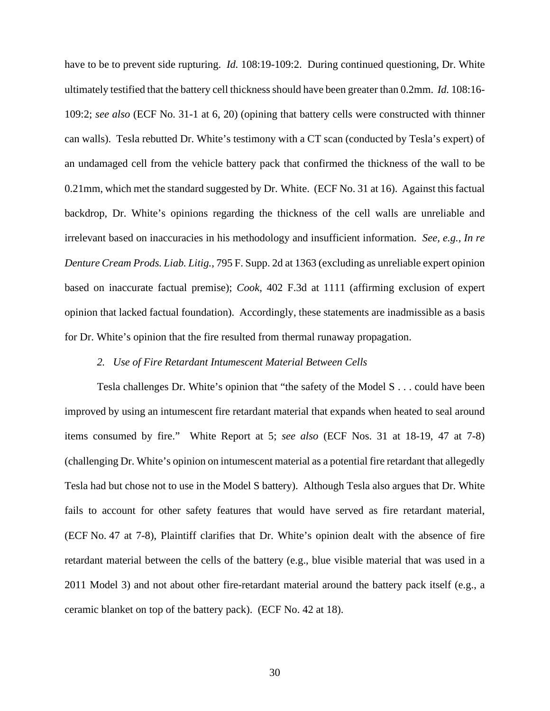have to be to prevent side rupturing. *Id.* 108:19-109:2. During continued questioning, Dr. White ultimately testified that the battery cell thickness should have been greater than 0.2mm. *Id.* 108:16- 109:2; *see also* (ECF No. 31-1 at 6, 20) (opining that battery cells were constructed with thinner can walls). Tesla rebutted Dr. White's testimony with a CT scan (conducted by Tesla's expert) of an undamaged cell from the vehicle battery pack that confirmed the thickness of the wall to be 0.21mm, which met the standard suggested by Dr. White. (ECF No. 31 at 16). Against this factual backdrop, Dr. White's opinions regarding the thickness of the cell walls are unreliable and irrelevant based on inaccuracies in his methodology and insufficient information. *See, e.g., In re Denture Cream Prods. Liab. Litig.*, 795 F. Supp. 2d at 1363 (excluding as unreliable expert opinion based on inaccurate factual premise); *Cook*, 402 F.3d at 1111 (affirming exclusion of expert opinion that lacked factual foundation). Accordingly, these statements are inadmissible as a basis for Dr. White's opinion that the fire resulted from thermal runaway propagation.

# *2. Use of Fire Retardant Intumescent Material Between Cells*

Tesla challenges Dr. White's opinion that "the safety of the Model S . . . could have been improved by using an intumescent fire retardant material that expands when heated to seal around items consumed by fire." White Report at 5; *see also* (ECF Nos. 31 at 18-19, 47 at 7-8) (challenging Dr. White's opinion on intumescent material as a potential fire retardant that allegedly Tesla had but chose not to use in the Model S battery). Although Tesla also argues that Dr. White fails to account for other safety features that would have served as fire retardant material, (ECF No. 47 at 7-8), Plaintiff clarifies that Dr. White's opinion dealt with the absence of fire retardant material between the cells of the battery (e.g., blue visible material that was used in a 2011 Model 3) and not about other fire-retardant material around the battery pack itself (e.g., a ceramic blanket on top of the battery pack). (ECF No. 42 at 18).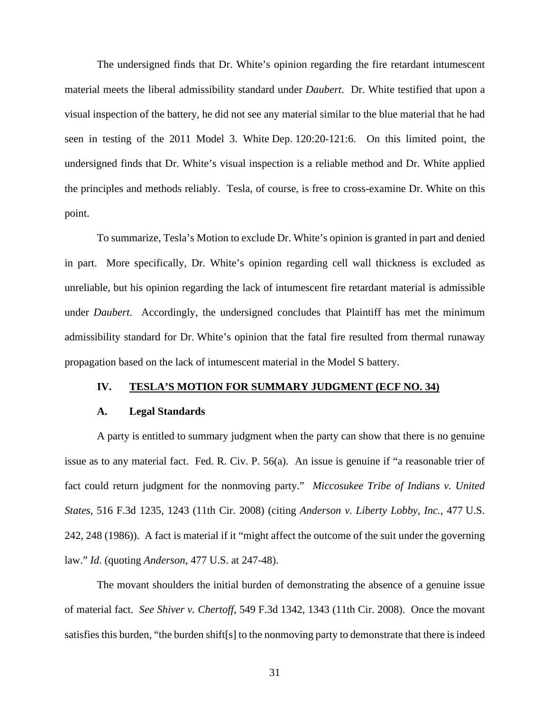The undersigned finds that Dr. White's opinion regarding the fire retardant intumescent material meets the liberal admissibility standard under *Daubert*. Dr. White testified that upon a visual inspection of the battery, he did not see any material similar to the blue material that he had seen in testing of the 2011 Model 3. White Dep. 120:20-121:6. On this limited point, the undersigned finds that Dr. White's visual inspection is a reliable method and Dr. White applied the principles and methods reliably. Tesla, of course, is free to cross-examine Dr. White on this point.

To summarize, Tesla's Motion to exclude Dr. White's opinion is granted in part and denied in part. More specifically, Dr. White's opinion regarding cell wall thickness is excluded as unreliable, but his opinion regarding the lack of intumescent fire retardant material is admissible under *Daubert*. Accordingly, the undersigned concludes that Plaintiff has met the minimum admissibility standard for Dr. White's opinion that the fatal fire resulted from thermal runaway propagation based on the lack of intumescent material in the Model S battery.

### **IV. TESLA'S MOTION FOR SUMMARY JUDGMENT (ECF NO. 34)**

#### **A. Legal Standards**

A party is entitled to summary judgment when the party can show that there is no genuine issue as to any material fact. Fed. R. Civ. P. 56(a). An issue is genuine if "a reasonable trier of fact could return judgment for the nonmoving party." *Miccosukee Tribe of Indians v. United States*, 516 F.3d 1235, 1243 (11th Cir. 2008) (citing *Anderson v. Liberty Lobby, Inc.*, 477 U.S. 242, 248 (1986)). A fact is material if it "might affect the outcome of the suit under the governing law." *Id*. (quoting *Anderson*, 477 U.S. at 247-48).

The movant shoulders the initial burden of demonstrating the absence of a genuine issue of material fact. *See Shiver v. Chertoff*, 549 F.3d 1342, 1343 (11th Cir. 2008). Once the movant satisfies this burden, "the burden shift[s] to the nonmoving party to demonstrate that there is indeed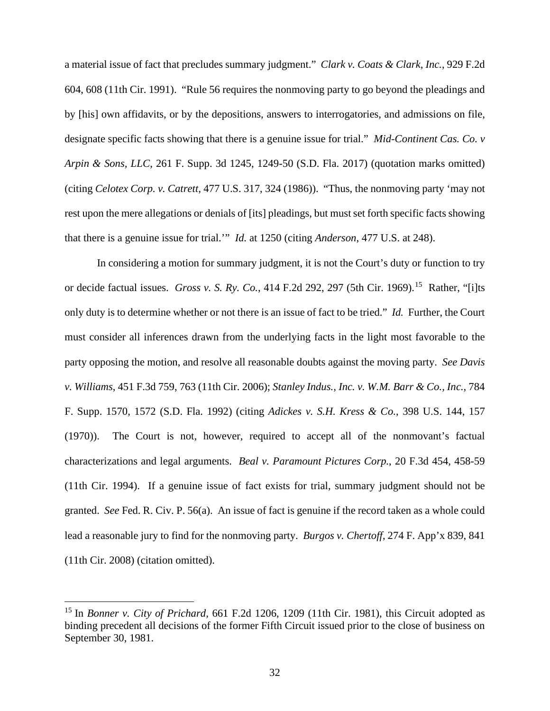a material issue of fact that precludes summary judgment." *Clark v. Coats & Clark, Inc.*, 929 F.2d 604, 608 (11th Cir. 1991). "Rule 56 requires the nonmoving party to go beyond the pleadings and by [his] own affidavits, or by the depositions, answers to interrogatories, and admissions on file, designate specific facts showing that there is a genuine issue for trial." *Mid-Continent Cas. Co. v Arpin & Sons, LLC*, 261 F. Supp. 3d 1245, 1249-50 (S.D. Fla. 2017) (quotation marks omitted) (citing *Celotex Corp. v. Catrett*, 477 U.S. 317, 324 (1986)). "Thus, the nonmoving party 'may not rest upon the mere allegations or denials of [its] pleadings, but must set forth specific facts showing that there is a genuine issue for trial.'" *Id.* at 1250 (citing *Anderson*, 477 U.S. at 248).

In considering a motion for summary judgment, it is not the Court's duty or function to try or decide factual issues. *Gross v. S. Ry. Co.*, 414 F.2d 292, 297 (5th Cir. 1969).15 Rather, "[i]ts only duty is to determine whether or not there is an issue of fact to be tried." *Id.* Further, the Court must consider all inferences drawn from the underlying facts in the light most favorable to the party opposing the motion, and resolve all reasonable doubts against the moving party. *See Davis v. Williams*, 451 F.3d 759, 763 (11th Cir. 2006); *Stanley Indus., Inc. v. W.M. Barr & Co., Inc.*, 784 F. Supp. 1570, 1572 (S.D. Fla. 1992) (citing *Adickes v. S.H. Kress & Co.*, 398 U.S. 144, 157 (1970)). The Court is not, however, required to accept all of the nonmovant's factual characterizations and legal arguments. *Beal v. Paramount Pictures Corp.*, 20 F.3d 454, 458-59 (11th Cir. 1994). If a genuine issue of fact exists for trial, summary judgment should not be granted. *See* Fed. R. Civ. P. 56(a). An issue of fact is genuine if the record taken as a whole could lead a reasonable jury to find for the nonmoving party. *Burgos v. Chertoff*, 274 F. App'x 839, 841 (11th Cir. 2008) (citation omitted).

<sup>15</sup> In *Bonner v. City of Prichard,* 661 F.2d 1206, 1209 (11th Cir. 1981), this Circuit adopted as binding precedent all decisions of the former Fifth Circuit issued prior to the close of business on September 30, 1981.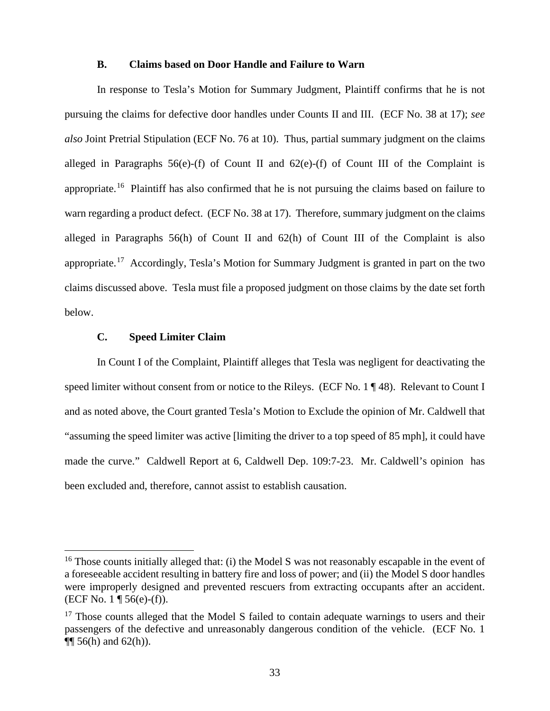## **B. Claims based on Door Handle and Failure to Warn**

In response to Tesla's Motion for Summary Judgment, Plaintiff confirms that he is not pursuing the claims for defective door handles under Counts II and III. (ECF No. 38 at 17); *see also* Joint Pretrial Stipulation (ECF No. 76 at 10). Thus, partial summary judgment on the claims alleged in Paragraphs  $56(e)$ -(f) of Count II and  $62(e)$ -(f) of Count III of the Complaint is appropriate.<sup>16</sup> Plaintiff has also confirmed that he is not pursuing the claims based on failure to warn regarding a product defect. (ECF No. 38 at 17). Therefore, summary judgment on the claims alleged in Paragraphs 56(h) of Count II and 62(h) of Count III of the Complaint is also appropriate.<sup>17</sup> Accordingly, Tesla's Motion for Summary Judgment is granted in part on the two claims discussed above. Tesla must file a proposed judgment on those claims by the date set forth below.

# **C. Speed Limiter Claim**

In Count I of the Complaint, Plaintiff alleges that Tesla was negligent for deactivating the speed limiter without consent from or notice to the Rileys. (ECF No. 1 ¶ 48). Relevant to Count I and as noted above, the Court granted Tesla's Motion to Exclude the opinion of Mr. Caldwell that "assuming the speed limiter was active [limiting the driver to a top speed of 85 mph], it could have made the curve." Caldwell Report at 6, Caldwell Dep. 109:7-23. Mr. Caldwell's opinion has been excluded and, therefore, cannot assist to establish causation.

<sup>&</sup>lt;sup>16</sup> Those counts initially alleged that: (i) the Model S was not reasonably escapable in the event of a foreseeable accident resulting in battery fire and loss of power; and (ii) the Model S door handles were improperly designed and prevented rescuers from extracting occupants after an accident.  $(ECF No. 1 \P 56(e)-(f)).$ 

 $17$  Those counts alleged that the Model S failed to contain adequate warnings to users and their passengers of the defective and unreasonably dangerous condition of the vehicle. (ECF No. 1  $\P$  56(h) and 62(h)).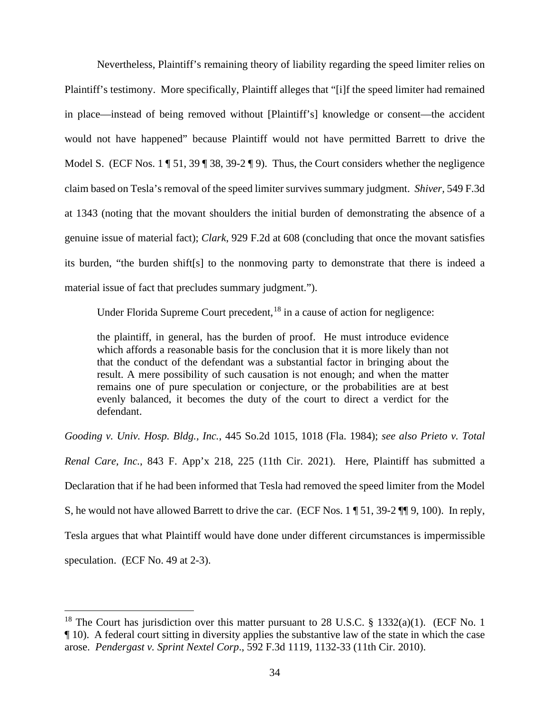Nevertheless, Plaintiff's remaining theory of liability regarding the speed limiter relies on Plaintiff's testimony. More specifically, Plaintiff alleges that "[i]f the speed limiter had remained in place—instead of being removed without [Plaintiff's] knowledge or consent—the accident would not have happened" because Plaintiff would not have permitted Barrett to drive the Model S. (ECF Nos. 1 ¶ 51, 39 ¶ 38, 39-2 ¶ 9). Thus, the Court considers whether the negligence claim based on Tesla's removal of the speed limiter survives summary judgment. *Shiver,* 549 F.3d at 1343 (noting that the movant shoulders the initial burden of demonstrating the absence of a genuine issue of material fact); *Clark*, 929 F.2d at 608 (concluding that once the movant satisfies its burden, "the burden shift[s] to the nonmoving party to demonstrate that there is indeed a material issue of fact that precludes summary judgment.").

Under Florida Supreme Court precedent,<sup>18</sup> in a cause of action for negligence:

the plaintiff, in general, has the burden of proof. He must introduce evidence which affords a reasonable basis for the conclusion that it is more likely than not that the conduct of the defendant was a substantial factor in bringing about the result. A mere possibility of such causation is not enough; and when the matter remains one of pure speculation or conjecture, or the probabilities are at best evenly balanced, it becomes the duty of the court to direct a verdict for the defendant.

*Gooding v. Univ. Hosp. Bldg., Inc.*, 445 So.2d 1015, 1018 (Fla. 1984); *see also Prieto v. Total Renal Care, Inc.*, 843 F. App'x 218, 225 (11th Cir. 2021). Here, Plaintiff has submitted a Declaration that if he had been informed that Tesla had removed the speed limiter from the Model S, he would not have allowed Barrett to drive the car. (ECF Nos. 1 ¶ 51, 39-2 ¶¶ 9, 100). In reply, Tesla argues that what Plaintiff would have done under different circumstances is impermissible speculation. (ECF No. 49 at 2-3).

<sup>&</sup>lt;sup>18</sup> The Court has jurisdiction over this matter pursuant to 28 U.S.C. § 1332(a)(1). (ECF No. 1 ¶ 10). A federal court sitting in diversity applies the substantive law of the state in which the case arose. *Pendergast v. Sprint Nextel Corp*., 592 F.3d 1119, 1132-33 (11th Cir. 2010).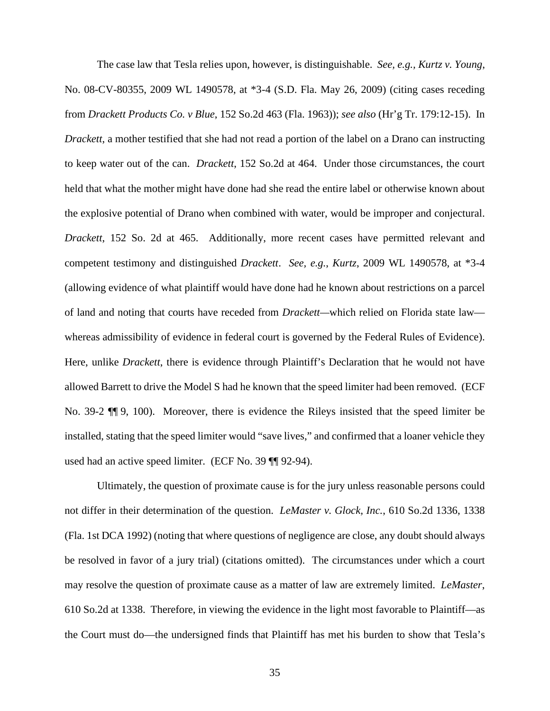The case law that Tesla relies upon, however, is distinguishable. *See, e.g., Kurtz v. Young*, No. 08-CV-80355, 2009 WL 1490578, at \*3-4 (S.D. Fla. May 26, 2009) (citing cases receding from *Drackett Products Co. v Blue*, 152 So.2d 463 (Fla. 1963)); *see also* (Hr'g Tr. 179:12-15). In *Drackett*, a mother testified that she had not read a portion of the label on a Drano can instructing to keep water out of the can. *Drackett*, 152 So.2d at 464. Under those circumstances, the court held that what the mother might have done had she read the entire label or otherwise known about the explosive potential of Drano when combined with water, would be improper and conjectural. *Drackett*, 152 So. 2d at 465. Additionally, more recent cases have permitted relevant and competent testimony and distinguished *Drackett*. *See, e.g.*, *Kurtz*, 2009 WL 1490578, at \*3-4 (allowing evidence of what plaintiff would have done had he known about restrictions on a parcel of land and noting that courts have receded from *Drackett—*which relied on Florida state law whereas admissibility of evidence in federal court is governed by the Federal Rules of Evidence). Here, unlike *Drackett*, there is evidence through Plaintiff's Declaration that he would not have allowed Barrett to drive the Model S had he known that the speed limiter had been removed. (ECF No. 39-2 ¶¶ 9, 100). Moreover, there is evidence the Rileys insisted that the speed limiter be installed, stating that the speed limiter would "save lives," and confirmed that a loaner vehicle they used had an active speed limiter. (ECF No. 39 ¶¶ 92-94).

Ultimately, the question of proximate cause is for the jury unless reasonable persons could not differ in their determination of the question. *LeMaster v. Glock, Inc.*, 610 So.2d 1336, 1338 (Fla. 1st DCA 1992) (noting that where questions of negligence are close, any doubt should always be resolved in favor of a jury trial) (citations omitted). The circumstances under which a court may resolve the question of proximate cause as a matter of law are extremely limited. *LeMaster*, 610 So.2d at 1338. Therefore, in viewing the evidence in the light most favorable to Plaintiff—as the Court must do—the undersigned finds that Plaintiff has met his burden to show that Tesla's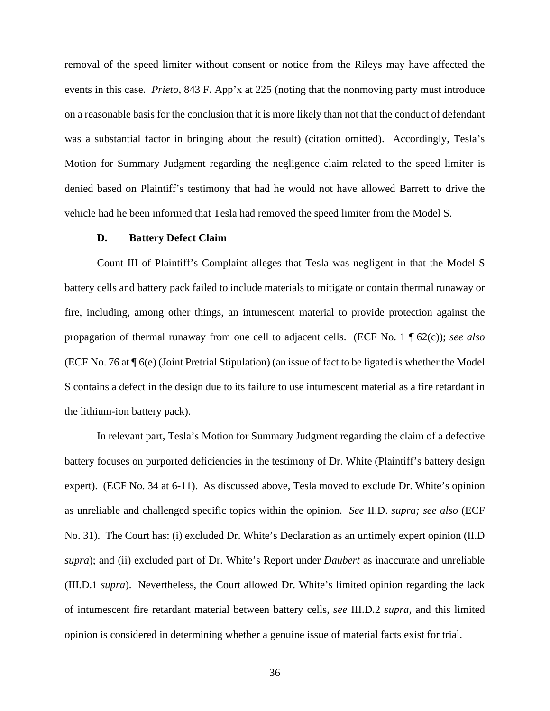removal of the speed limiter without consent or notice from the Rileys may have affected the events in this case. *Prieto*, 843 F. App'x at 225 (noting that the nonmoving party must introduce on a reasonable basis for the conclusion that it is more likely than not that the conduct of defendant was a substantial factor in bringing about the result) (citation omitted). Accordingly, Tesla's Motion for Summary Judgment regarding the negligence claim related to the speed limiter is denied based on Plaintiff's testimony that had he would not have allowed Barrett to drive the vehicle had he been informed that Tesla had removed the speed limiter from the Model S.

#### **D. Battery Defect Claim**

Count III of Plaintiff's Complaint alleges that Tesla was negligent in that the Model S battery cells and battery pack failed to include materials to mitigate or contain thermal runaway or fire, including, among other things, an intumescent material to provide protection against the propagation of thermal runaway from one cell to adjacent cells. (ECF No. 1 ¶ 62(c)); *see also* (ECF No. 76 at ¶ 6(e) (Joint Pretrial Stipulation) (an issue of fact to be ligated is whether the Model S contains a defect in the design due to its failure to use intumescent material as a fire retardant in the lithium-ion battery pack).

In relevant part, Tesla's Motion for Summary Judgment regarding the claim of a defective battery focuses on purported deficiencies in the testimony of Dr. White (Plaintiff's battery design expert). (ECF No. 34 at 6-11). As discussed above, Tesla moved to exclude Dr. White's opinion as unreliable and challenged specific topics within the opinion. *See* II.D. *supra; see also* (ECF No. 31). The Court has: (i) excluded Dr. White's Declaration as an untimely expert opinion (II.D *supra*); and (ii) excluded part of Dr. White's Report under *Daubert* as inaccurate and unreliable (III.D.1 *supra*). Nevertheless, the Court allowed Dr. White's limited opinion regarding the lack of intumescent fire retardant material between battery cells, *see* III.D.2 *supra*, and this limited opinion is considered in determining whether a genuine issue of material facts exist for trial.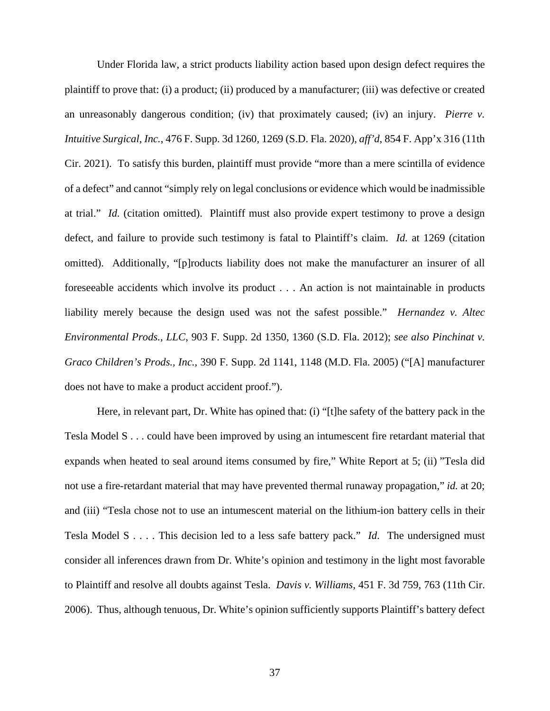Under Florida law, a strict products liability action based upon design defect requires the plaintiff to prove that: (i) a product; (ii) produced by a manufacturer; (iii) was defective or created an unreasonably dangerous condition; (iv) that proximately caused; (iv) an injury. *Pierre v. Intuitive Surgical, Inc.*, 476 F. Supp. 3d 1260, 1269 (S.D. Fla. 2020), *aff'd*, 854 F. App'x 316 (11th Cir. 2021). To satisfy this burden, plaintiff must provide "more than a mere scintilla of evidence of a defect" and cannot "simply rely on legal conclusions or evidence which would be inadmissible at trial." *Id.* (citation omitted). Plaintiff must also provide expert testimony to prove a design defect, and failure to provide such testimony is fatal to Plaintiff's claim. *Id.* at 1269 (citation omitted). Additionally, "[p]roducts liability does not make the manufacturer an insurer of all foreseeable accidents which involve its product . . . An action is not maintainable in products liability merely because the design used was not the safest possible." *Hernandez v. Altec Environmental Prods., LLC*, 903 F. Supp. 2d 1350, 1360 (S.D. Fla. 2012); *see also Pinchinat v. Graco Children's Prods., Inc.*, 390 F. Supp. 2d 1141, 1148 (M.D. Fla. 2005) ("[A] manufacturer does not have to make a product accident proof.").

Here, in relevant part, Dr. White has opined that: (i) "[t]he safety of the battery pack in the Tesla Model S . . . could have been improved by using an intumescent fire retardant material that expands when heated to seal around items consumed by fire," White Report at 5; (ii) "Tesla did not use a fire-retardant material that may have prevented thermal runaway propagation," *id.* at 20; and (iii) "Tesla chose not to use an intumescent material on the lithium-ion battery cells in their Tesla Model S . . . . This decision led to a less safe battery pack." *Id*. The undersigned must consider all inferences drawn from Dr. White's opinion and testimony in the light most favorable to Plaintiff and resolve all doubts against Tesla. *Davis v. Williams*, 451 F. 3d 759, 763 (11th Cir. 2006). Thus, although tenuous, Dr. White's opinion sufficiently supports Plaintiff's battery defect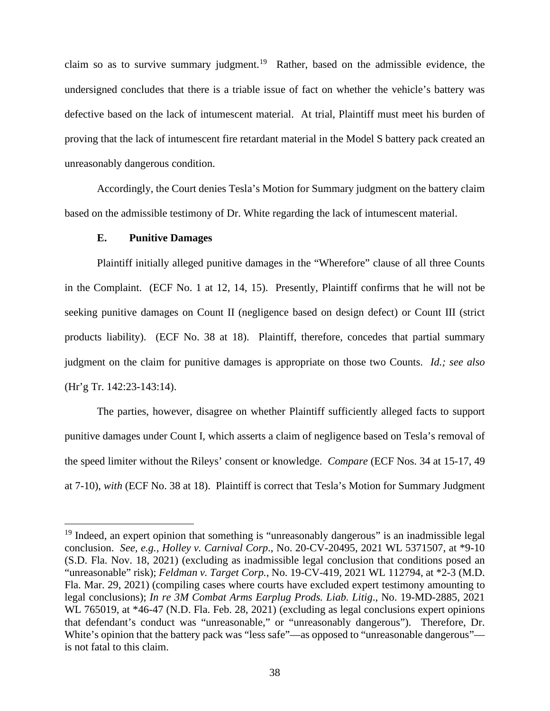claim so as to survive summary judgment.<sup>19</sup> Rather, based on the admissible evidence, the undersigned concludes that there is a triable issue of fact on whether the vehicle's battery was defective based on the lack of intumescent material. At trial, Plaintiff must meet his burden of proving that the lack of intumescent fire retardant material in the Model S battery pack created an unreasonably dangerous condition.

Accordingly, the Court denies Tesla's Motion for Summary judgment on the battery claim based on the admissible testimony of Dr. White regarding the lack of intumescent material.

# **E. Punitive Damages**

Plaintiff initially alleged punitive damages in the "Wherefore" clause of all three Counts in the Complaint. (ECF No. 1 at 12, 14, 15). Presently, Plaintiff confirms that he will not be seeking punitive damages on Count II (negligence based on design defect) or Count III (strict products liability). (ECF No. 38 at 18). Plaintiff, therefore, concedes that partial summary judgment on the claim for punitive damages is appropriate on those two Counts. *Id.; see also*  (Hr'g Tr. 142:23-143:14).

The parties, however, disagree on whether Plaintiff sufficiently alleged facts to support punitive damages under Count I, which asserts a claim of negligence based on Tesla's removal of the speed limiter without the Rileys' consent or knowledge. *Compare* (ECF Nos. 34 at 15-17, 49 at 7-10), *with* (ECF No. 38 at 18). Plaintiff is correct that Tesla's Motion for Summary Judgment

<sup>&</sup>lt;sup>19</sup> Indeed, an expert opinion that something is "unreasonably dangerous" is an inadmissible legal conclusion. *See, e.g., Holley v. Carnival Corp*., No. 20-CV-20495, 2021 WL 5371507, at \*9-10 (S.D. Fla. Nov. 18, 2021) (excluding as inadmissible legal conclusion that conditions posed an "unreasonable" risk); *Feldman v. Target Corp.*, No. 19-CV-419, 2021 WL 112794, at \*2-3 (M.D. Fla. Mar. 29, 2021) (compiling cases where courts have excluded expert testimony amounting to legal conclusions); *In re 3M Combat Arms Earplug Prods. Liab. Litig*., No. 19-MD-2885, 2021 WL 765019, at \*46-47 (N.D. Fla. Feb. 28, 2021) (excluding as legal conclusions expert opinions that defendant's conduct was "unreasonable," or "unreasonably dangerous"). Therefore, Dr. White's opinion that the battery pack was "less safe"—as opposed to "unreasonable dangerous" is not fatal to this claim.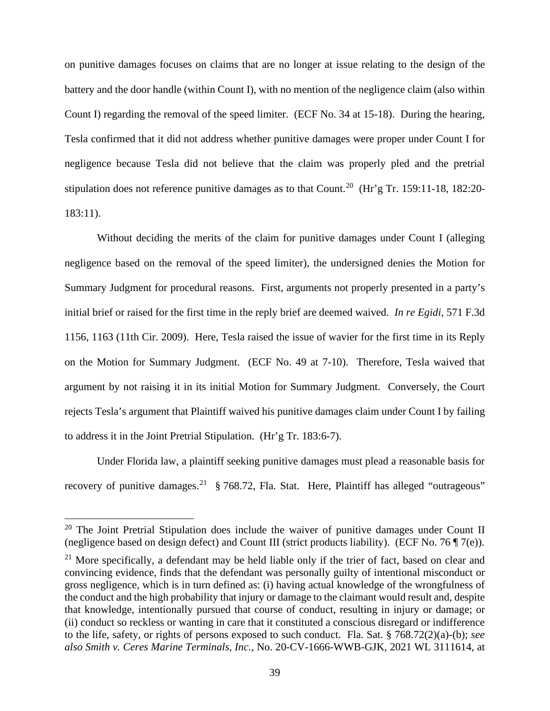on punitive damages focuses on claims that are no longer at issue relating to the design of the battery and the door handle (within Count I), with no mention of the negligence claim (also within Count I) regarding the removal of the speed limiter. (ECF No. 34 at 15-18). During the hearing, Tesla confirmed that it did not address whether punitive damages were proper under Count I for negligence because Tesla did not believe that the claim was properly pled and the pretrial stipulation does not reference punitive damages as to that Count.<sup>20</sup> (Hr'g Tr. 159:11-18, 182:20-183:11).

Without deciding the merits of the claim for punitive damages under Count I (alleging negligence based on the removal of the speed limiter), the undersigned denies the Motion for Summary Judgment for procedural reasons. First, arguments not properly presented in a party's initial brief or raised for the first time in the reply brief are deemed waived. *In re Egidi*, 571 F.3d 1156, 1163 (11th Cir. 2009). Here, Tesla raised the issue of wavier for the first time in its Reply on the Motion for Summary Judgment. (ECF No. 49 at 7-10). Therefore, Tesla waived that argument by not raising it in its initial Motion for Summary Judgment. Conversely, the Court rejects Tesla's argument that Plaintiff waived his punitive damages claim under Count I by failing to address it in the Joint Pretrial Stipulation. (Hr'g Tr. 183:6-7).

Under Florida law, a plaintiff seeking punitive damages must plead a reasonable basis for recovery of punitive damages.<sup>21</sup> § 768.72, Fla. Stat. Here, Plaintiff has alleged "outrageous"

 $20$  The Joint Pretrial Stipulation does include the waiver of punitive damages under Count II (negligence based on design defect) and Count III (strict products liability). (ECF No. 76 ¶ 7(e)).

 $21$  More specifically, a defendant may be held liable only if the trier of fact, based on clear and convincing evidence, finds that the defendant was personally guilty of intentional misconduct or gross negligence, which is in turn defined as: (i) having actual knowledge of the wrongfulness of the conduct and the high probability that injury or damage to the claimant would result and, despite that knowledge, intentionally pursued that course of conduct, resulting in injury or damage; or (ii) conduct so reckless or wanting in care that it constituted a conscious disregard or indifference to the life, safety, or rights of persons exposed to such conduct. Fla. Sat. § 768.72(2)(a)-(b); *see also Smith v. Ceres Marine Terminals, Inc.,* No. 20-CV-1666-WWB-GJK, 2021 WL 3111614, at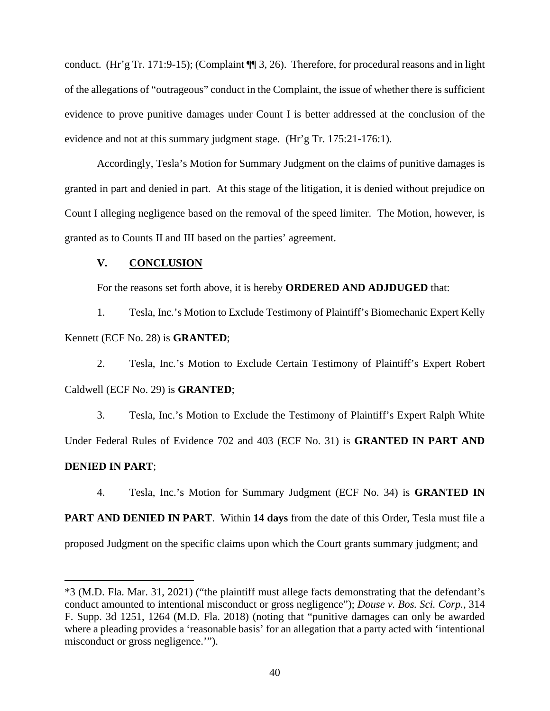conduct. (Hr'g Tr. 171:9-15); (Complaint ¶¶ 3, 26). Therefore, for procedural reasons and in light of the allegations of "outrageous" conduct in the Complaint, the issue of whether there is sufficient evidence to prove punitive damages under Count I is better addressed at the conclusion of the evidence and not at this summary judgment stage. (Hr'g Tr. 175:21-176:1).

Accordingly, Tesla's Motion for Summary Judgment on the claims of punitive damages is granted in part and denied in part. At this stage of the litigation, it is denied without prejudice on Count I alleging negligence based on the removal of the speed limiter. The Motion, however, is granted as to Counts II and III based on the parties' agreement.

# **V. CONCLUSION**

For the reasons set forth above, it is hereby **ORDERED AND ADJDUGED** that:

1. Tesla, Inc.'s Motion to Exclude Testimony of Plaintiff's Biomechanic Expert Kelly Kennett (ECF No. 28) is **GRANTED**;

2. Tesla, Inc.'s Motion to Exclude Certain Testimony of Plaintiff's Expert Robert Caldwell (ECF No. 29) is **GRANTED**;

3. Tesla, Inc.'s Motion to Exclude the Testimony of Plaintiff's Expert Ralph White Under Federal Rules of Evidence 702 and 403 (ECF No. 31) is **GRANTED IN PART AND DENIED IN PART**;

4. Tesla, Inc.'s Motion for Summary Judgment (ECF No. 34) is **GRANTED IN** 

**PART AND DENIED IN PART**. Within **14 days** from the date of this Order, Tesla must file a proposed Judgment on the specific claims upon which the Court grants summary judgment; and

<sup>\*3 (</sup>M.D. Fla. Mar. 31, 2021) ("the plaintiff must allege facts demonstrating that the defendant's conduct amounted to intentional misconduct or gross negligence"); *Douse v. Bos. Sci. Corp.*, 314 F. Supp. 3d 1251, 1264 (M.D. Fla. 2018) (noting that "punitive damages can only be awarded where a pleading provides a 'reasonable basis' for an allegation that a party acted with 'intentional misconduct or gross negligence.'").